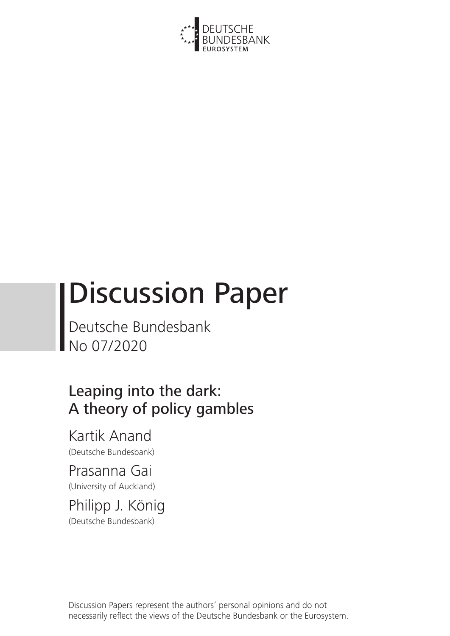

# Discussion Paper

Deutsche Bundesbank No 07/2020

## Leaping into the dark: A theory of policy gambles

Kartik Anand (Deutsche Bundesbank)

Prasanna Gai (University of Auckland)

Philipp J. König (Deutsche Bundesbank)

Discussion Papers represent the authors' personal opinions and do not necessarily reflect the views of the Deutsche Bundesbank or the Eurosystem.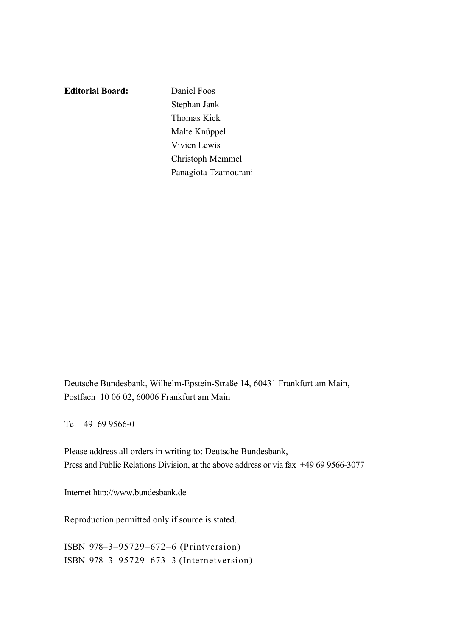**Editorial Board:** Daniel Foos

Stephan Jank Thomas Kick Malte Knüppel Vivien Lewis Christoph Memmel Panagiota Tzamourani

Deutsche Bundesbank, Wilhelm-Epstein-Straße 14, 60431 Frankfurt am Main, Postfach 10 06 02, 60006 Frankfurt am Main

Tel +49 69 9566-0

Please address all orders in writing to: Deutsche Bundesbank, Press and Public Relations Division, at the above address or via fax +49 69 9566-3077

Internet http://www.bundesbank.de

Reproduction permitted only if source is stated.

ISBN 978–3–95729–672–6 (Printversion) ISBN 978–3–95729–673–3 (Internetversion)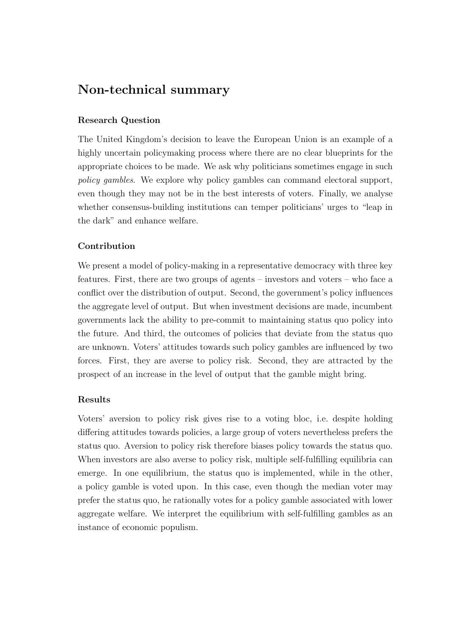### Non-technical summary

### Research Question

The United Kingdom's decision to leave the European Union is an example of a highly uncertain policymaking process where there are no clear blueprints for the appropriate choices to be made. We ask why politicians sometimes engage in such *policy gambles*. We explore why policy gambles can command electoral support, even though they may not be in the best interests of voters. Finally, we analyse whether consensus-building institutions can temper politicians' urges to "leap in the dark" and enhance welfare.

### Contribution

We present a model of policy-making in a representative democracy with three key features. First, there are two groups of agents – investors and voters – who face a conflict over the distribution of output. Second, the government's policy influences the aggregate level of output. But when investment decisions are made, incumbent governments lack the ability to pre-commit to maintaining status quo policy into the future. And third, the outcomes of policies that deviate from the status quo are unknown. Voters' attitudes towards such policy gambles are influenced by two forces. First, they are averse to policy risk. Second, they are attracted by the prospect of an increase in the level of output that the gamble might bring.

### Results

Voters' aversion to policy risk gives rise to a voting bloc, i.e. despite holding differing attitudes towards policies, a large group of voters nevertheless prefers the status quo. Aversion to policy risk therefore biases policy towards the status quo. When investors are also averse to policy risk, multiple self-fulfilling equilibria can emerge. In one equilibrium, the status quo is implemented, while in the other, a policy gamble is voted upon. In this case, even though the median voter may prefer the status quo, he rationally votes for a policy gamble associated with lower aggregate welfare. We interpret the equilibrium with self-fulfilling gambles as an instance of economic populism.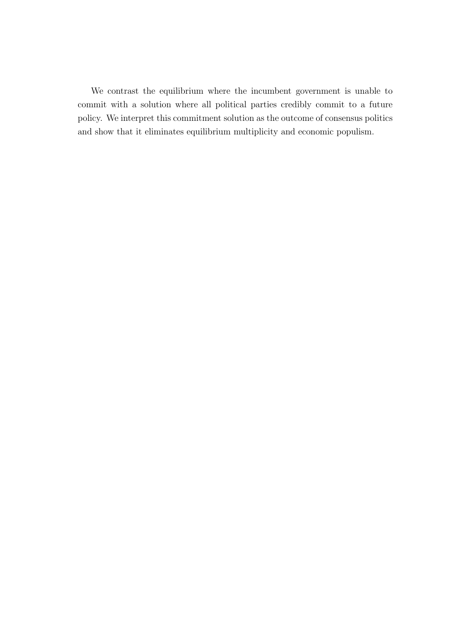We contrast the equilibrium where the incumbent government is unable to commit with a solution where all political parties credibly commit to a future policy. We interpret this commitment solution as the outcome of consensus politics and show that it eliminates equilibrium multiplicity and economic populism.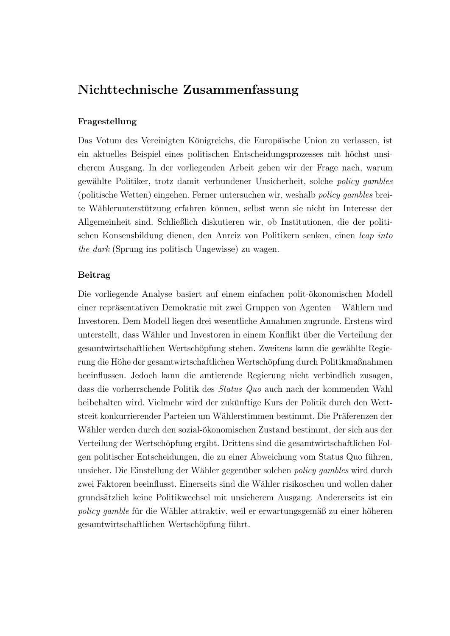### Nichttechnische Zusammenfassung

#### Fragestellung

Das Votum des Vereinigten Königreichs, die Europäische Union zu verlassen, ist ein aktuelles Beispiel eines politischen Entscheidungsprozesses mit höchst unsicherem Ausgang. In der vorliegenden Arbeit gehen wir der Frage nach, warum gew¨ahlte Politiker, trotz damit verbundener Unsicherheit, solche *policy gambles* (politische Wetten) eingehen. Ferner untersuchen wir, weshalb *policy gambles* breite Wählerunterstützung erfahren können, selbst wenn sie nicht im Interesse der Allgemeinheit sind. Schließlich diskutieren wir, ob Institutionen, die der politischen Konsensbildung dienen, den Anreiz von Politikern senken, einen *leap into the dark* (Sprung ins politisch Ungewisse) zu wagen.

#### Beitrag

Die vorliegende Analyse basiert auf einem einfachen polit-ökonomischen Modell einer repräsentativen Demokratie mit zwei Gruppen von Agenten – Wählern und Investoren. Dem Modell liegen drei wesentliche Annahmen zugrunde. Erstens wird unterstellt, dass Wähler und Investoren in einem Konflikt über die Verteilung der gesamtwirtschaftlichen Wertschöpfung stehen. Zweitens kann die gewählte Regierung die Höhe der gesamtwirtschaftlichen Wertschöpfung durch Politikmaßnahmen beeinflussen. Jedoch kann die amtierende Regierung nicht verbindlich zusagen, dass die vorherrschende Politik des *Status Quo* auch nach der kommenden Wahl beibehalten wird. Vielmehr wird der zukünftige Kurs der Politik durch den Wettstreit konkurrierender Parteien um Wählerstimmen bestimmt. Die Präferenzen der Wähler werden durch den sozial-ökonomischen Zustand bestimmt, der sich aus der Verteilung der Wertschöpfung ergibt. Drittens sind die gesamtwirtschaftlichen Folgen politischer Entscheidungen, die zu einer Abweichung vom Status Quo führen, unsicher. Die Einstellung der Wähler gegenüber solchen *policy gambles* wird durch zwei Faktoren beeinflusst. Einerseits sind die W¨ahler risikoscheu und wollen daher grunds¨atzlich keine Politikwechsel mit unsicherem Ausgang. Andererseits ist ein *policy gamble* für die Wähler attraktiv, weil er erwartungsgemäß zu einer höheren gesamtwirtschaftlichen Wertschöpfung führt.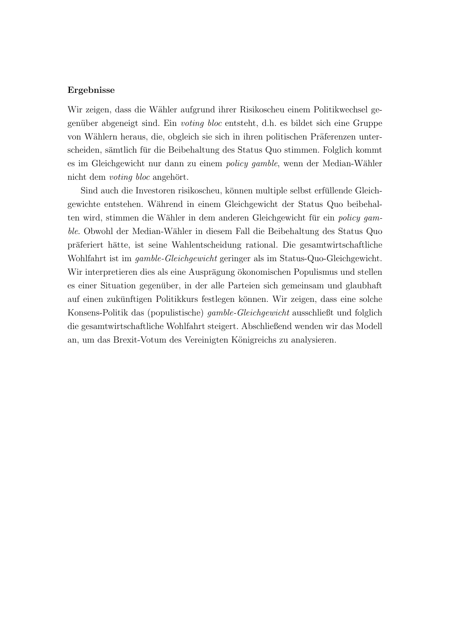#### Ergebnisse

Wir zeigen, dass die Wähler aufgrund ihrer Risikoscheu einem Politikwechsel gegenüber abgeneigt sind. Ein *voting bloc* entsteht, d.h. es bildet sich eine Gruppe von Wählern heraus, die, obgleich sie sich in ihren politischen Präferenzen unterscheiden, sämtlich für die Beibehaltung des Status Quo stimmen. Folglich kommt es im Gleichgewicht nur dann zu einem *policy gamble*, wenn der Median-W¨ahler nicht dem *voting* bloc angehört.

Sind auch die Investoren risikoscheu, können multiple selbst erfüllende Gleichgewichte entstehen. W¨ahrend in einem Gleichgewicht der Status Quo beibehalten wird, stimmen die Wähler in dem anderen Gleichgewicht für ein *policy* gam*ble*. Obwohl der Median-W¨ahler in diesem Fall die Beibehaltung des Status Quo präferiert hätte, ist seine Wahlentscheidung rational. Die gesamtwirtschaftliche Wohlfahrt ist im *gamble-Gleichgewicht* geringer als im Status-Quo-Gleichgewicht. Wir interpretieren dies als eine Ausprägung ökonomischen Populismus und stellen es einer Situation gegenüber, in der alle Parteien sich gemeinsam und glaubhaft auf einen zukünftigen Politikkurs festlegen können. Wir zeigen, dass eine solche Konsens-Politik das (populistische) *gamble-Gleichgewicht* ausschließt und folglich die gesamtwirtschaftliche Wohlfahrt steigert. Abschließend wenden wir das Modell an, um das Brexit-Votum des Vereinigten Königreichs zu analysieren.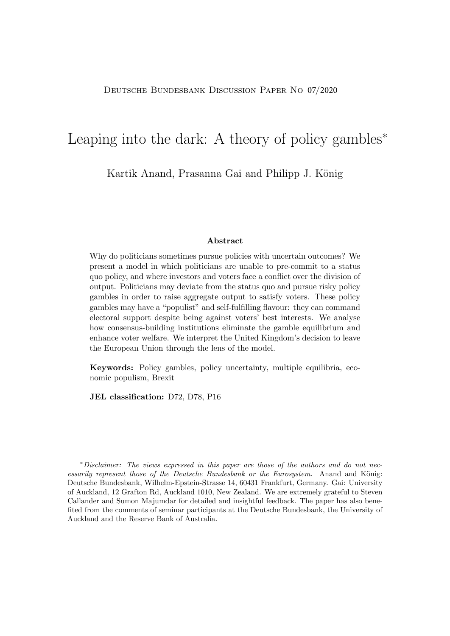### Leaping into the dark: A theory of policy gambles<sup>∗</sup>

Kartik Anand, Prasanna Gai and Philipp J. König

#### Abstract

Why do politicians sometimes pursue policies with uncertain outcomes? We present a model in which politicians are unable to pre-commit to a status quo policy, and where investors and voters face a conflict over the division of output. Politicians may deviate from the status quo and pursue risky policy gambles in order to raise aggregate output to satisfy voters. These policy gambles may have a "populist" and self-fulfilling flavour: they can command electoral support despite being against voters' best interests. We analyse how consensus-building institutions eliminate the gamble equilibrium and enhance voter welfare. We interpret the United Kingdom's decision to leave the European Union through the lens of the model.

Keywords: Policy gambles, policy uncertainty, multiple equilibria, economic populism, Brexit

JEL classification: D72, D78, P16

<sup>∗</sup>*Disclaimer: The views expressed in this paper are those of the authors and do not necessarily represent those of the Deutsche Bundesbank or the Eurosystem.* Anand and König: Deutsche Bundesbank, Wilhelm-Epstein-Strasse 14, 60431 Frankfurt, Germany. Gai: University of Auckland, 12 Grafton Rd, Auckland 1010, New Zealand. We are extremely grateful to Steven Callander and Sumon Majumdar for detailed and insightful feedback. The paper has also benefited from the comments of seminar participants at the Deutsche Bundesbank, the University of Auckland and the Reserve Bank of Australia.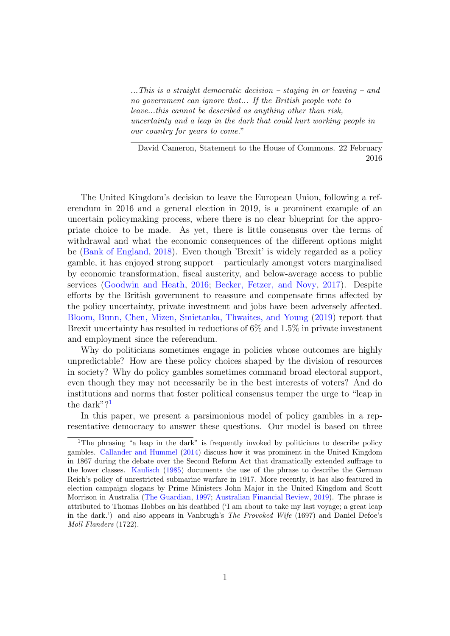*...This is a straight democratic decision – staying in or leaving – and no government can ignore that... If the British people vote to leave...this cannot be described as anything other than risk, uncertainty and a leap in the dark that could hurt working people in our country for years to come.*"

David Cameron, Statement to the House of Commons. 22 February 2016

The United Kingdom's decision to leave the European Union, following a referendum in 2016 and a general election in 2019, is a prominent example of an uncertain policymaking process, where there is no clear blueprint for the appropriate choice to be made. As yet, there is little consensus over the terms of withdrawal and what the economic consequences of the different options might be (Bank of [England,](#page-37-0) [2018](#page-37-0)). Even though 'Brexit' is widely regarded as a policy gamble, it has enjoyed strong support – particularly amongst voters marginalised by economic transformation, fiscal austerity, and below-average access to public services ([Goodwin](#page-37-1) and Heath, [2016](#page-37-1); [Becker,](#page-35-0) Fetzer, and Novy, [2017\)](#page-35-0). Despite efforts by the British government to reassure and compensate firms affected by the policy uncertainty, private investment and jobs have been adversely affected. Bloom, Bunn, Chen, Mizen, [Smietanka,](#page-35-1) Thwaites, and Young ([2019](#page-35-1)) report that Brexit uncertainty has resulted in reductions of  $6\%$  and  $1.5\%$  in private investment and employment since the referendum.

Why do politicians sometimes engage in policies whose outcomes are highly unpredictable? How are these policy choices shaped by the division of resources in society? Why do policy gambles sometimes command broad electoral support, even though they may not necessarily be in the best interests of voters? And do institutions and norms that foster political consensus temper the urge to "leap in the dark"?<sup>1</sup>

In this paper, we present a parsimonious model of policy gambles in a representative democracy to answer these questions. Our model is based on three

<sup>&</sup>lt;sup>1</sup>The phrasing "a leap in the dark" is frequently invoked by politicians to describe policy gambles. [Callander](#page-36-0) and Hummel [\(2014](#page-36-0)) discuss how it was prominent in the United Kingdom in 1867 during the debate over the Second Reform Act that dramatically extended suffrage to the lower classes. [Kaulisch](#page-37-2) ([1985\)](#page-37-2) documents the use of the phrase to describe the German Reich's policy of unrestricted submarine warfare in 1917. More recently, it has also featured in election campaign slogans by Prime Ministers John Major in the United Kingdom and Scott Morrison in Australia (The [Guardian,](#page-38-0) [1997;](#page-38-0) [Australian](#page-37-3) Financial Review, [2019](#page-37-3)). The phrase is attributed to Thomas Hobbes on his deathbed ('I am about to take my last voyage; a great leap in the dark.') and also appears in Vanbrugh's *The Provoked Wife* (1697) and Daniel Defoe's *Moll Flanders* (1722).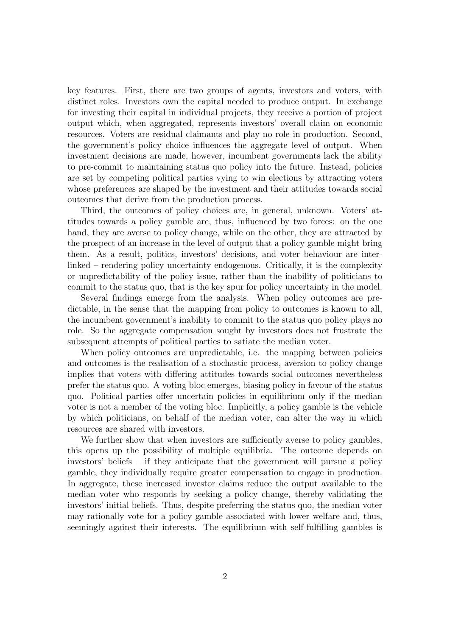key features. First, there are two groups of agents, investors and voters, with distinct roles. Investors own the capital needed to produce output. In exchange for investing their capital in individual projects, they receive a portion of project output which, when aggregated, represents investors' overall claim on economic resources. Voters are residual claimants and play no role in production. Second, the government's policy choice influences the aggregate level of output. When investment decisions are made, however, incumbent governments lack the ability to pre-commit to maintaining status quo policy into the future. Instead, policies are set by competing political parties vying to win elections by attracting voters whose preferences are shaped by the investment and their attitudes towards social outcomes that derive from the production process.

Third, the outcomes of policy choices are, in general, unknown. Voters' attitudes towards a policy gamble are, thus, influenced by two forces: on the one hand, they are averse to policy change, while on the other, they are attracted by the prospect of an increase in the level of output that a policy gamble might bring them. As a result, politics, investors' decisions, and voter behaviour are interlinked – rendering policy uncertainty endogenous. Critically, it is the complexity or unpredictability of the policy issue, rather than the inability of politicians to commit to the status quo, that is the key spur for policy uncertainty in the model.

Several findings emerge from the analysis. When policy outcomes are predictable, in the sense that the mapping from policy to outcomes is known to all, the incumbent government's inability to commit to the status quo policy plays no role. So the aggregate compensation sought by investors does not frustrate the subsequent attempts of political parties to satiate the median voter.

When policy outcomes are unpredictable, i.e. the mapping between policies and outcomes is the realisation of a stochastic process, aversion to policy change implies that voters with differing attitudes towards social outcomes nevertheless prefer the status quo. A voting bloc emerges, biasing policy in favour of the status quo. Political parties offer uncertain policies in equilibrium only if the median voter is not a member of the voting bloc. Implicitly, a policy gamble is the vehicle by which politicians, on behalf of the median voter, can alter the way in which resources are shared with investors.

We further show that when investors are sufficiently averse to policy gambles, this opens up the possibility of multiple equilibria. The outcome depends on investors' beliefs – if they anticipate that the government will pursue a policy gamble, they individually require greater compensation to engage in production. In aggregate, these increased investor claims reduce the output available to the median voter who responds by seeking a policy change, thereby validating the investors' initial beliefs. Thus, despite preferring the status quo, the median voter may rationally vote for a policy gamble associated with lower welfare and, thus, seemingly against their interests. The equilibrium with self-fulfilling gambles is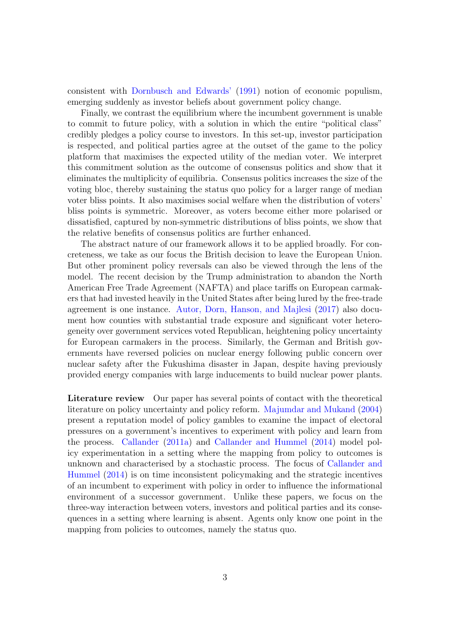consistent with [Dornbusch](#page-36-1) and Edwards' ([1991\)](#page-36-1) notion of economic populism, emerging suddenly as investor beliefs about government policy change.

Finally, we contrast the equilibrium where the incumbent government is unable to commit to future policy, with a solution in which the entire "political class" credibly pledges a policy course to investors. In this set-up, investor participation is respected, and political parties agree at the outset of the game to the policy platform that maximises the expected utility of the median voter. We interpret this commitment solution as the outcome of consensus politics and show that it eliminates the multiplicity of equilibria. Consensus politics increases the size of the voting bloc, thereby sustaining the status quo policy for a larger range of median voter bliss points. It also maximises social welfare when the distribution of voters' bliss points is symmetric. Moreover, as voters become either more polarised or dissatisfied, captured by non-symmetric distributions of bliss points, we show that the relative benefits of consensus politics are further enhanced.

The abstract nature of our framework allows it to be applied broadly. For concreteness, we take as our focus the British decision to leave the European Union. But other prominent policy reversals can also be viewed through the lens of the model. The recent decision by the Trump administration to abandon the North American Free Trade Agreement (NAFTA) and place tariffs on European carmakers that had invested heavily in the United States after being lured by the free-trade agreement is one instance. Autor, Dorn, [Hanson,](#page-35-2) and Majlesi ([2017](#page-35-2)) also document how counties with substantial trade exposure and significant voter heterogeneity over government services voted Republican, heightening policy uncertainty for European carmakers in the process. Similarly, the German and British governments have reversed policies on nuclear energy following public concern over nuclear safety after the Fukushima disaster in Japan, despite having previously provided energy companies with large inducements to build nuclear power plants.

Literature review Our paper has several points of contact with the theoretical literature on policy uncertainty and policy reform. [Majumdar](#page-37-4) and Mukand [\(2004](#page-37-4)) present a reputation model of policy gambles to examine the impact of electoral pressures on a government's incentives to experiment with policy and learn from the process. [Callander](#page-35-3) [\(2011a\)](#page-35-3) and [Callander](#page-36-0) and Hummel [\(2014\)](#page-36-0) model policy experimentation in a setting where the mapping from policy to outcomes is unknown and [characterised](#page-36-0) by a stochastic process. The focus of Callander and Hummel [\(2014\)](#page-36-0) is on time inconsistent policymaking and the strategic incentives of an incumbent to experiment with policy in order to influence the informational environment of a successor government. Unlike these papers, we focus on the three-way interaction between voters, investors and political parties and its consequences in a setting where learning is absent. Agents only know one point in the mapping from policies to outcomes, namely the status quo.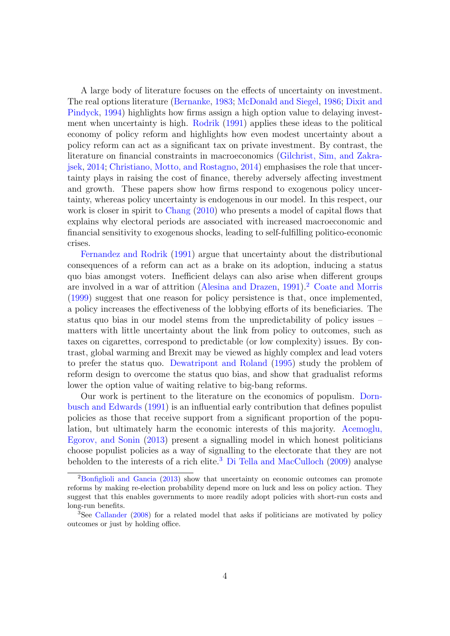A large body of literature focuses on the effects of uncertainty on investment. The real options literature [\(](#page-36-2)[Bernank](#page-35-4)[e,](#page-36-2) [1983;](#page-35-4) [McDonald](#page-38-1) and Siegel, [1986](#page-38-1); Dixit and Pindyck, [1994](#page-36-2)) highlights how firms assign a high option value to delaying investment when uncertainty is high. [Rodrik](#page-39-0) ([1991](#page-39-0)) applies these ideas to the political economy of policy reform and highlights how even modest uncertainty about a policy reform can act as a significant tax on private investment. By contrast, the literature on financial constraints in [macroeconomics](#page-37-5) (Gilchrist, Sim, and Zakrajsek, [2014;](#page-37-5) [Christiano,](#page-36-3) Motto, and Rostagno, [2014\)](#page-36-3) emphasises the role that uncertainty plays in raising the cost of finance, thereby adversely affecting investment and growth. These papers show how firms respond to exogenous policy uncertainty, whereas policy uncertainty is endogenous in our model. In this respect, our work is closer in spirit to [Chang](#page-36-4) [\(2010\)](#page-36-4) who presents a model of capital flows that explains why electoral periods are associated with increased macroeconomic and financial sensitivity to exogenous shocks, leading to self-fulfilling politico-economic [crises.](#page-37-6)

Fernandez and Rodrik [\(1991\)](#page-37-6) argue that uncertainty about the distributional consequences of a reform can act as a brake on its adoption, inducing a status quo bias amongst voters. Inefficient delays can also arise when different groups are involved in a war of attrition [\(Alesina](#page-35-5) and Drazen, [1991](#page-35-5)). <sup>2</sup> Coate and [Morris](#page-36-5) ([1999](#page-36-5)) suggest that one reason for policy persistence is that, once implemented, a policy increases the effectiveness of the lobbying efforts of its beneficiaries. The status quo bias in our model stems from the unpredictability of policy issues – matters with little uncertainty about the link from policy to outcomes, such as taxes on cigarettes, correspond to predictable (or low complexity) issues. By contrast, global warming and Brexit may be viewed as highly complex and lead voters to prefer the status quo. [Dewatripont](#page-36-6) and Roland [\(1995\)](#page-36-6) study the problem of reform design to overcome the status quo bias, and show that gradualist reforms lower the option value of waiting relative to big-bang reforms.

Our work is pertinent to the literature on the [economics](#page-36-1) of populism. Dornbusch and Edwards ([1991\)](#page-36-1) is an influential early contribution that defines populist policies as those that receive support from a significant proportion of the population, but ultimately harm the [economic](#page-35-6) interests of this majority. Acemoglu, Egorov, and Sonin [\(2013\)](#page-35-6) present a signalling model in which honest politicians choose populist policies as a way of signalling to the electorate that they are not beholden to the interests of a rich elite.<sup>3</sup> Di Tella and [MacCulloch](#page-38-2) ([2009](#page-38-2)) analyse

<sup>&</sup>lt;sup>2</sup>[Bonfiglioli](#page-35-7) and Gancia [\(2013](#page-35-7)) show that uncertainty on economic outcomes can promote reforms by making re-election probability depend more on luck and less on policy action. They suggest that this enables governments to more readily adopt policies with short-run costs and long-run benefits.

<sup>3</sup>See [Callander](#page-35-8) [\(2008](#page-35-8)) for a related model that asks if politicians are motivated by policy outcomes or just by holding office.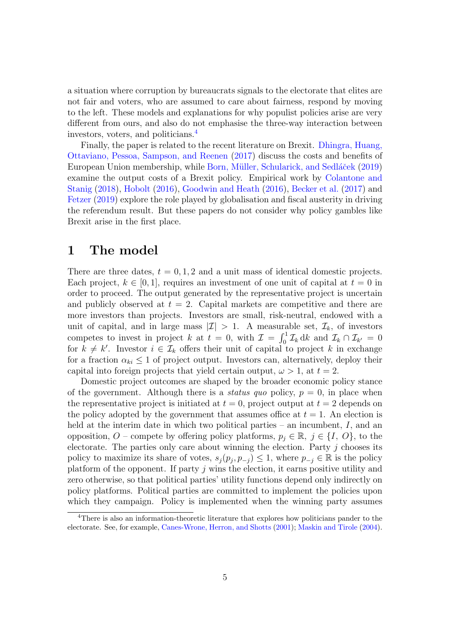a situation where corruption by bureaucrats signals to the electorate that elites are not fair and voters, who are assumed to care about fairness, respond by moving to the left. These models and explanations for why populist policies arise are very different from ours, and also do not emphasise the three-way interaction between investors, voters, and politicians. 4

Finally, the paper is related to the recent [literature](#page-36-7) on Brexit. Dhingra, Huang, Ottaviano, Pessoa, Sampson, and Reenen [\(2017\)](#page-36-7) discuss the costs and benefits of European Union membership, while Born, Müller, [Schularick,](#page-35-9) and Sedláček [\(2019](#page-35-9)) examine the output costs of a Brexit policy. [Empirical](#page-36-8) work by Colantone and Stanig ([2018\)](#page-36-8), [Hobolt](#page-37-7) ([2016](#page-37-7)), [Goodwin](#page-37-1) and Heath [\(2016\)](#page-37-1), [Becker](#page-35-0) et al. ([2017](#page-35-0)) and [Fetzer](#page-37-8) [\(2019\)](#page-37-8) explore the role played by globalisation and fiscal austerity in driving the referendum result. But these papers do not consider why policy gambles like Brexit arise in the first place.

### 1 The model

There are three dates,  $t = 0, 1, 2$  and a unit mass of identical domestic projects. Each project,  $k \in [0, 1]$ , requires an investment of one unit of capital at  $t = 0$  in order to proceed. The output generated by the representative project is uncertain and publicly observed at  $t = 2$ . Capital markets are competitive and there are more investors than projects. Investors are small, risk-neutral, endowed with a unit of capital, and in large mass  $|\mathcal{I}| > 1$ . A measurable set,  $\mathcal{I}_k$ , of investors competes to invest in project *k* at  $t = 0$ , with  $\mathcal{I} = \int_0^1 \mathcal{I}_k dk$  and  $\mathcal{I}_k \cap \mathcal{I}_{k'} = 0$ for  $k \neq k'$ . Investor  $i \in \mathcal{I}_k$  offers their unit of capital to project k in exchange for a fraction  $\alpha_{ki} \leq 1$  of project output. Investors can, alternatively, deploy their capital into foreign projects that yield certain output,  $\omega > 1$ , at  $t = 2$ .

Domestic project outcomes are shaped by the broader economic policy stance of the government. Although there is a *status quo* policy,  $p = 0$ , in place when the representative project is initiated at  $t = 0$ , project output at  $t = 2$  depends on the policy adopted by the government that assumes office at  $t = 1$ . An election is held at the interim date in which two political parties – an incumbent, *I*, and an opposition, *O* – compete by offering policy platforms,  $p_j \in \mathbb{R}, j \in \{I, O\}$ , to the electorate. The parties only care about winning the election. Party *j* chooses its policy to maximize its share of votes,  $s_i(p_i, p_{-i}) \leq 1$ , where  $p_{-i} \in \mathbb{R}$  is the policy platform of the opponent. If party *j* wins the election, it earns positive utility and zero otherwise, so that political parties' utility functions depend only indirectly on policy platforms. Political parties are committed to implement the policies upon which they campaign. Policy is implemented when the winning party assumes

<sup>4</sup>There is also an information-theoretic literature that explores how politicians pander to the electorate. See, for example, [Canes-Wrone,](#page-36-9) Herron, and Shotts [\(2001](#page-36-9)); [Maskin](#page-37-9) and Tirole [\(2004](#page-37-9)).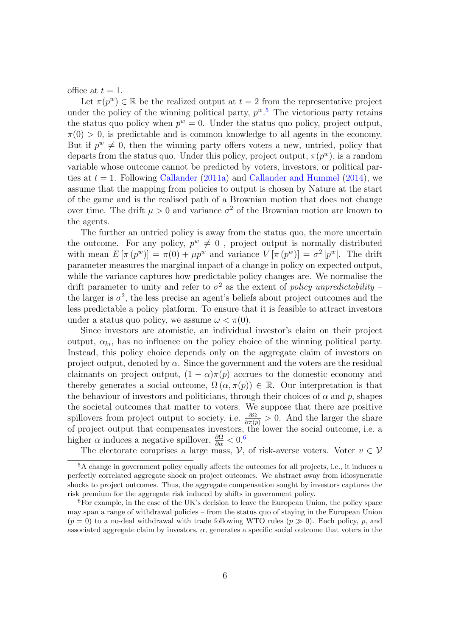office at  $t=1$ .

Let  $\pi(p^w) \in \mathbb{R}$  be the realized output at  $t = 2$  from the representative project under the policy of the winning political party,  $p^w$ <sup>5</sup>. The victorious party retains the status quo policy when  $p^w = 0$ . Under the status quo policy, project output,  $\pi(0) > 0$ , is predictable and is common knowledge to all agents in the economy. But if  $p^w \neq 0$ , then the winning party offers voters a new, untried, policy that departs from the status quo. Under this policy, project output,  $\pi(p^w)$ , is a random variable whose outcome cannot be predicted by voters, investors, or political parties at  $t = 1$ . Following [Callander](#page-36-0) ([2011a\)](#page-35-3) and Callander and Hummel ([2014\)](#page-36-0), we assume that the mapping from policies to output is chosen by Nature at the start of the game and is the realised path of a Brownian motion that does not change over time. The drift  $\mu > 0$  and variance  $\sigma^2$  of the Brownian motion are known to the agents.

The further an untried policy is away from the status quo, the more uncertain the outcome. For any policy,  $p^w \neq 0$ , project output is normally distributed with mean  $E[\pi(p^w)] = \pi(0) + \mu p^w$  and variance  $V[\pi(p^w)] = \sigma^2 |p^w|$ . The drift parameter measures the marginal impact of a change in policy on expected output, while the variance captures how predictable policy changes are. We normalise the drift parameter to unity and refer to  $\sigma^2$  as the extent of *policy unpredictability* – the larger is  $\sigma^2$ , the less precise an agent's beliefs about project outcomes and the less predictable a policy platform. To ensure that it is feasible to attract investors under a status quo policy, we assume  $\omega < \pi(0)$ .

Since investors are atomistic, an individual investor's claim on their project output,  $\alpha_{ki}$ , has no influence on the policy choice of the winning political party. Instead, this policy choice depends only on the aggregate claim of investors on project output, denoted by  $\alpha$ . Since the government and the voters are the residual claimants on project output,  $(1 - \alpha)\pi(p)$  accrues to the domestic economy and thereby generates a social outcome,  $\Omega(\alpha, \pi(p)) \in \mathbb{R}$ . Our interpretation is that the behaviour of investors and politicians, through their choices of  $\alpha$  and  $p$ , shapes the societal outcomes that matter to voters. We suppose that there are positive spillovers from project output to society, i.e.  $\frac{\partial \Omega}{\partial \pi(p)} > 0$ . And the larger the share of project output that compensates investors, the lower the social outcome, i.e. a higher  $\alpha$  induces a negative spillover,  $\frac{\partial \Omega}{\partial \alpha} < 0.6$ 

The electorate comprises a large mass,  $\mathcal{V}$ , of risk-averse voters. Voter  $v \in \mathcal{V}$ 

<sup>5</sup>A change in government policy equally affects the outcomes for all projects, i.e., it induces a perfectly correlated aggregate shock on project outcomes. We abstract away from idiosyncratic shocks to project outcomes. Thus, the aggregate compensation sought by investors captures the risk premium for the aggregate risk induced by shifts in government policy.

 ${}^{6}$  For example, in the case of the UK's decision to leave the European Union, the policy space may span a range of withdrawal policies – from the status quo of staying in the European Union  $(p = 0)$  to a no-deal withdrawal with trade following WTO rules  $(p \gg 0)$ . Each policy, p, and associated aggregate claim by investors,  $\alpha$ , generates a specific social outcome that voters in the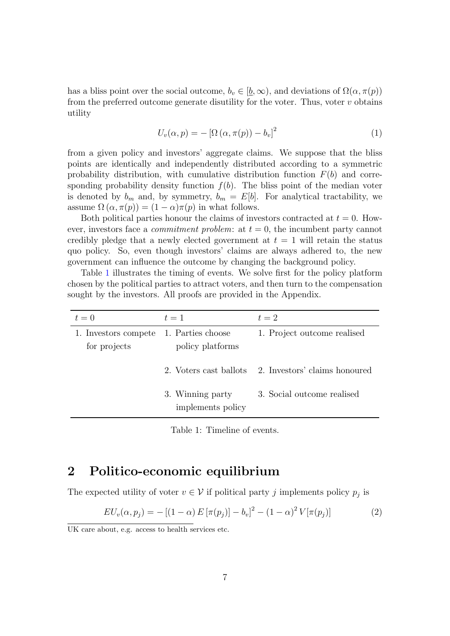has a bliss point over the social outcome,  $b_v \in [b, \infty)$ , and deviations of  $\Omega(\alpha, \pi(p))$ from the preferred outcome generate disutility for the voter. Thus, voter *v* obtains utility

$$
U_v(\alpha, p) = -\left[\Omega\left(\alpha, \pi(p)\right) - b_v\right]^2\tag{1}
$$

from a given policy and investors' aggregate claims. We suppose that the bliss points are identically and independently distributed according to a symmetric probability distribution, with cumulative distribution function  $F(b)$  and corresponding probability density function  $f(b)$ . The bliss point of the median voter is denoted by  $b_m$  and, by symmetry,  $b_m = E[b]$ . For analytical tractability, we assume  $\Omega(\alpha, \pi(p)) = (1 - \alpha)\pi(p)$  in what follows.

Both political parties honour the claims of investors contracted at  $t = 0$ . However, investors face a *commitment problem*: at  $t = 0$ , the incumbent party cannot credibly pledge that a newly elected government at  $t = 1$  will retain the status quo policy. So, even though investors' claims are always adhered to, the new government can influence the outcome by changing the background policy.

Table [1](#page-13-0) illustrates the timing of events. We solve first for the policy platform chosen by the political parties to attract voters, and then turn to the compensation sought by the investors. All proofs are provided in the Appendix.

<span id="page-13-0"></span>

| $t=0$                                | $t=1$                                 | $t=2$                         |
|--------------------------------------|---------------------------------------|-------------------------------|
| 1. Investors compete<br>for projects | 1. Parties choose<br>policy platforms | 1. Project outcome realised   |
|                                      | 2. Voters cast ballots                | 2. Investors' claims honoured |
|                                      | 3. Winning party<br>implements policy | 3. Social outcome realised    |

Table 1: Timeline of events.

### 2 Politico-economic equilibrium

The expected utility of voter  $v \in V$  if political party *j* implements policy  $p_j$  is

<span id="page-13-1"></span>
$$
EU_v(\alpha, p_j) = -[(1-\alpha) E[\pi(p_j)] - b_v]^2 - (1-\alpha)^2 V[\pi(p_j)]
$$
\n(2)

UK care about, e.g. access to health services etc.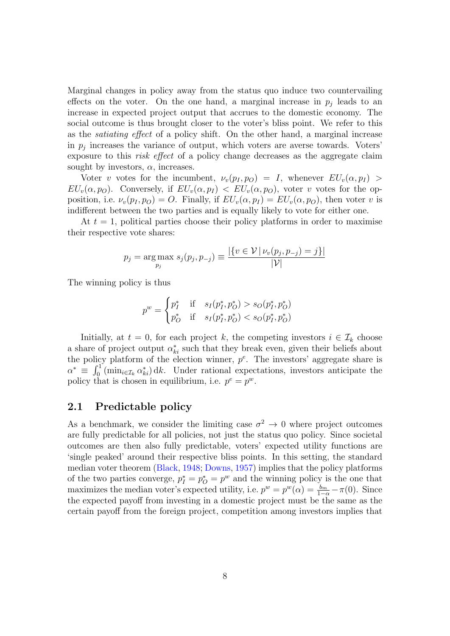Marginal changes in policy away from the status quo induce two countervailing effects on the voter. On the one hand, a marginal increase in  $p_i$  leads to an increase in expected project output that accrues to the domestic economy. The social outcome is thus brought closer to the voter's bliss point. We refer to this as the *satiating e*ff*ect* of a policy shift. On the other hand, a marginal increase in  $p_j$  increases the variance of output, which voters are averse towards. Voters' exposure to this *risk effect* of a policy change decreases as the aggregate claim sought by investors,  $\alpha$ , increases.

Voter *v* votes for the incumbent,  $\nu_v(p_I, p_O) = I$ , whenever  $EU_v(\alpha, p_I) >$ *EU<sub>v</sub>*( $\alpha$ *, p<sub>O</sub>*). Conversely, if  $EU_v(\alpha, p_I) < EU_v(\alpha, p_O)$ , voter *v* votes for the opposition, i.e.  $\nu_v(p_I, p_O) = O$ . Finally, if  $EU_v(\alpha, p_I) = EU_v(\alpha, p_O)$ , then voter *v* is indifferent between the two parties and is equally likely to vote for either one.

At  $t = 1$ , political parties choose their policy platforms in order to maximise their respective vote shares:

$$
p_j = \underset{p_j}{\text{arg max}} \ s_j(p_j, p_{-j}) \equiv \frac{|\{v \in \mathcal{V} \mid \nu_v(p_j, p_{-j}) = j\}|}{|\mathcal{V}|}
$$

The winning policy is thus

$$
p^{w} = \begin{cases} p_{I}^{*} & \text{if } s_{I}(p_{I}^{*}, p_{O}^{*}) > s_{O}(p_{I}^{*}, p_{O}^{*}) \\ p_{O}^{*} & \text{if } s_{I}(p_{I}^{*}, p_{O}^{*}) < s_{O}(p_{I}^{*}, p_{O}^{*}) \end{cases}
$$

Initially, at  $t = 0$ , for each project k, the competing investors  $i \in I_k$  choose a share of project output  $\alpha_{ki}^*$  such that they break even, given their beliefs about the policy platform of the election winner,  $p^e$ . The investors' aggregate share is  $\alpha^* \equiv \int_0^1 (\min_{i \in \mathcal{I}_k} \alpha^*_{ki}) \, \mathrm{d}k$ . Under rational expectations, investors anticipate the policy that is chosen in equilibrium, i.e.  $p^e = p^w$ .

### 2.1 Predictable policy

As a benchmark, we consider the limiting case  $\sigma^2 \to 0$  where project outcomes are fully predictable for all policies, not just the status quo policy. Since societal outcomes are then also fully predictable, voters' expected utility functions are 'single peaked' around their respective bliss points. In this setting, the standard median voter theorem [\(Black,](#page-35-10) [1948](#page-35-10); [Downs](#page-36-10), [1957\)](#page-36-10) implies that the policy platforms of the two parties converge,  $p_I^* = p_O^* = p^w$  and the winning policy is the one that maximizes the median voter's expected utility, i.e.  $p^w = p^w(\alpha) = \frac{b_m}{1-\alpha} - \pi(0)$ . Since the expected payoff from investing in a domestic project must be the same as the certain payoff from the foreign project, competition among investors implies that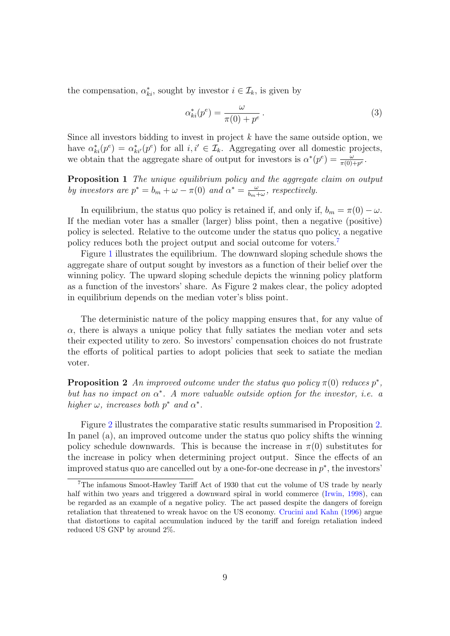the compensation,  $\alpha_{ki}^*$ , sought by investor  $i \in \mathcal{I}_k$ , is given by

<span id="page-15-1"></span>
$$
\alpha_{ki}^*(p^e) = \frac{\omega}{\pi(0) + p^e} \,. \tag{3}
$$

Since all investors bidding to invest in project *k* have the same outside option, we have  $\alpha_{ki}^*(p^e) = \alpha_{ki'}^*(p^e)$  for all *i,*  $i' \in \mathcal{I}_k$ . Aggregating over all domestic projects, we obtain that the aggregate share of output for investors is  $\alpha^*(p^e) = \frac{\omega}{\pi(0)+p^e}$ .

<span id="page-15-2"></span>Proposition 1 *The unique equilibrium policy and the aggregate claim on output by investors are*  $p^* = b_m + \omega - \pi(0)$  *and*  $\alpha^* = \frac{\omega}{b_m + \omega}$ *, respectively.* 

In equilibrium, the status quo policy is retained if, and only if,  $b_m = \pi(0) - \omega$ . If the median voter has a smaller (larger) bliss point, then a negative (positive) policy is selected. Relative to the outcome under the status quo policy, a negative policy reduces both the project output and social outcome for voters.<sup>7</sup>

Figure [1](#page-16-0) illustrates the equilibrium. The downward sloping schedule shows the aggregate share of output sought by investors as a function of their belief over the winning policy. The upward sloping schedule depicts the winning policy platform as a function of the investors' share. As Figure 2 makes clear, the policy adopted in equilibrium depends on the median voter's bliss point.

The deterministic nature of the policy mapping ensures that, for any value of  $\alpha$ , there is always a unique policy that fully satiates the median voter and sets their expected utility to zero. So investors' compensation choices do not frustrate the efforts of political parties to adopt policies that seek to satiate the median voter.

<span id="page-15-0"></span>**Proposition 2** An improved outcome under the status quo policy  $\pi(0)$  reduces  $p^*$ , *but has no impact on*  $\alpha^*$ *. A more valuable outside option for the investor, i.e. a higher*  $\omega$ *, increases both*  $p^*$  *and*  $\alpha^*$ *.* 

Figure [2](#page-17-0) illustrates the comparative static results summarised in Proposition [2.](#page-15-0) In panel (a), an improved outcome under the status quo policy shifts the winning policy schedule downwards. This is because the increase in  $\pi(0)$  substitutes for the increase in policy when determining project output. Since the effects of an improved status quo are cancelled out by a one-for-one decrease in *p*∗, the investors'

<sup>7</sup>The infamous Smoot-Hawley Tariff Act of 1930 that cut the volume of US trade by nearly half within two years and triggered a downward spiral in world commerce ([Irwin,](#page-37-10) [1998\)](#page-37-10), can be regarded as an example of a negative policy. The act passed despite the dangers of foreign retaliation that threatened to wreak havoc on the US economy. [Crucini](#page-36-11) and Kahn [\(1996\)](#page-36-11) argue that distortions to capital accumulation induced by the tariff and foreign retaliation indeed reduced US GNP by around 2%.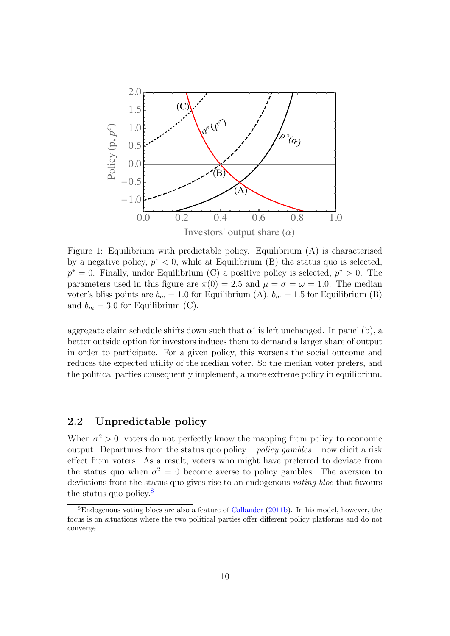<span id="page-16-0"></span>

Figure 1: Equilibrium with predictable policy. Equilibrium (A) is characterised by a negative policy, *p*<sup>∗</sup> *<* 0, while at Equilibrium (B) the status quo is selected, *p*<sup>∗</sup> = 0. Finally, under Equilibrium (C) a positive policy is selected, *p*<sup>∗</sup> *>* 0. The parameters used in this figure are  $\pi(0) = 2.5$  and  $\mu = \sigma = \omega = 1.0$ . The median voter's bliss points are  $b_m = 1.0$  for Equilibrium (A),  $b_m = 1.5$  for Equilibrium (B) and  $b_m = 3.0$  for Equilibrium (C).

aggregate claim schedule shifts down such that  $\alpha^*$  is left unchanged. In panel (b), a better outside option for investors induces them to demand a larger share of output in order to participate. For a given policy, this worsens the social outcome and reduces the expected utility of the median voter. So the median voter prefers, and the political parties consequently implement, a more extreme policy in equilibrium.

### 2.2 Unpredictable policy

When  $\sigma^2 > 0$ , voters do not perfectly know the mapping from policy to economic output. Departures from the status quo policy – *policy gambles* – now elicit a risk effect from voters. As a result, voters who might have preferred to deviate from the status quo when  $\sigma^2 = 0$  become averse to policy gambles. The aversion to deviations from the status quo gives rise to an endogenous *voting bloc* that favours the status quo policy.<sup>8</sup>

<sup>8</sup>Endogenous voting blocs are also a feature of [Callander](#page-36-12) [\(2011b\)](#page-36-12). In his model, however, the focus is on situations where the two political parties offer different policy platforms and do not converge.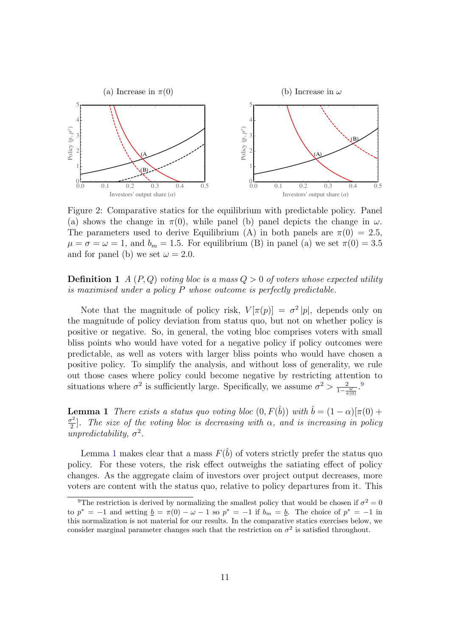<span id="page-17-0"></span>

Figure 2: Comparative statics for the equilibrium with predictable policy. Panel (a) shows the change in  $\pi(0)$ , while panel (b) panel depicts the change in  $\omega$ . The parameters used to derive Equilibrium (A) in both panels are  $\pi(0) = 2.5$ ,  $\mu = \sigma = \omega = 1$ , and  $b_m = 1.5$ . For equilibrium (B) in panel (a) we set  $\pi(0) = 3.5$ and for panel (b) we set  $\omega = 2.0$ .

### **Definition 1** *A* (*P, Q*) *voting bloc is a mass*  $Q > 0$  *of voters whose expected utility is maximised under a policy P whose outcome is perfectly predictable.*

Note that the magnitude of policy risk,  $V[\pi(p)] = \sigma^2 |p|$ , depends only on the magnitude of policy deviation from status quo, but not on whether policy is positive or negative. So, in general, the voting bloc comprises voters with small bliss points who would have voted for a negative policy if policy outcomes were predictable, as well as voters with larger bliss points who would have chosen a positive policy. To simplify the analysis, and without loss of generality, we rule out those cases where policy could become negative by restricting attention to situations where  $\sigma^2$  is sufficiently large. Specifically, we assume  $\sigma^2 > \frac{2}{1-\frac{\omega}{\pi(0)}}$ .<sup>9</sup>

<span id="page-17-1"></span>**Lemma 1** *There exists a status quo voting bloc*  $(0, F(\hat{b}))$  *with*  $\hat{b} = (1 - \alpha)[\pi(0) +$  $\frac{\sigma^2}{2}$ . The size of the voting bloc is decreasing with  $\alpha$ , and is increasing in policy  $unpredictability, \sigma^2$ .

Lemma [1](#page-17-1) makes clear that a mass  $F(\hat{b})$  of voters strictly prefer the status quo policy. For these voters, the risk effect outweighs the satiating effect of policy changes. As the aggregate claim of investors over project output decreases, more voters are content with the status quo, relative to policy departures from it. This

<sup>&</sup>lt;sup>9</sup>The restriction is derived by normalizing the smallest policy that would be chosen if  $\sigma^2 = 0$ to  $p^* = -1$  and setting  $\underline{b} = \pi(0) - \omega - 1$  so  $p^* = -1$  if  $b_m = \underline{b}$ . The choice of  $p^* = -1$  in this normalization is not material for our results. In the comparative statics exercises below, we consider marginal parameter changes such that the restriction on  $\sigma^2$  is satisfied throughout.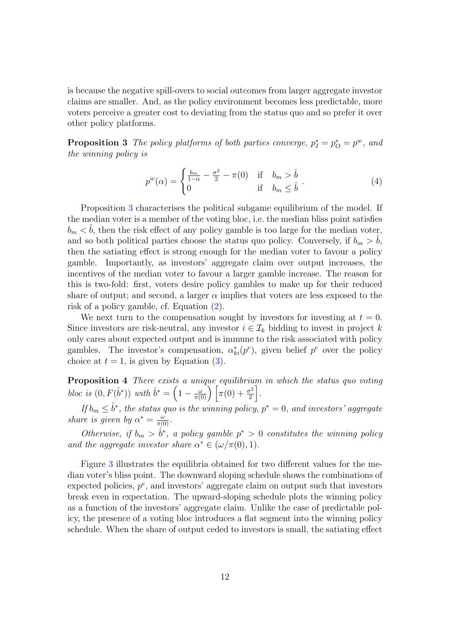is because the negative spill-overs to social outcomes from larger aggregate investor claims are smaller. And, as the policy environment becomes less predictable, more voters perceive a greater cost to deviating from the status quo and so prefer it over other policy platforms.

<span id="page-18-0"></span>**Proposition 3** The policy platforms of both parties converge,  $p_I^* = p_O^* = p^w$ , and *the winning policy is*

$$
p^{w}(\alpha) = \begin{cases} \frac{b_m}{1-\alpha} - \frac{\sigma^2}{2} - \pi(0) & \text{if } b_m > \hat{b} \\ 0 & \text{if } b_m \le \hat{b} \end{cases} (4)
$$

Proposition [3](#page-18-0) characterises the political subgame equilibrium of the model. If the median voter is a member of the voting bloc, i.e. the median bliss point satisfies  $b_m < \hat{b}$ , then the risk effect of any policy gamble is too large for the median voter, and so both political parties choose the status quo policy. Conversely, if  $b_m > b$ , then the satiating effect is strong enough for the median voter to favour a policy gamble. Importantly, as investors' aggregate claim over output increases, the incentives of the median voter to favour a larger gamble increase. The reason for this is two-fold: first, voters desire policy gambles to make up for their reduced share of output; and second, a larger  $\alpha$  implies that voters are less exposed to the risk of a policy gamble, cf. Equation ([2](#page-13-1)).

We next turn to the compensation sought by investors for investing at  $t = 0$ . Since investors are risk-neutral, any investor  $i \in \mathcal{I}_k$  bidding to invest in project  $k$ only cares about expected output and is immune to the risk associated with policy gambles. The investor's compensation,  $\alpha_{ki}^*(p^e)$ , given belief  $p^e$  over the policy choice at  $t = 1$ , is given by Equation  $(3)$ .

<span id="page-18-1"></span>Proposition 4 *There exists a unique equilibrium in which the status quo voting bloc is*  $(0, F(\hat{b}^*))$  *with*  $\hat{b}^* = \left(1 - \frac{\omega}{\pi(0)}\right)$  $\int \left[ \pi(0) + \frac{\sigma^2}{2} \right]$ & *.*

*If*  $b_m \leq \hat{b}^*$ , the status quo is the winning policy,  $p^* = 0$ , and investors' aggregate *share is given by*  $\alpha^* = \frac{\omega}{\pi(0)}$ *.* 

*Otherwise, if*  $b_m > \hat{b}^*$ , *a policy gamble*  $p^* > 0$  *constitutes the winning policy and* the *aggregate investor share*  $\alpha^* \in (\omega/\pi(0), 1)$ *.* 

Figure [3](#page-19-0) illustrates the equilibria obtained for two different values for the median voter's bliss point. The downward sloping schedule shows the combinations of expected policies,  $p^e$ , and investors' aggregate claim on output such that investors break even in expectation. The upward-sloping schedule plots the winning policy as a function of the investors' aggregate claim. Unlike the case of predictable policy, the presence of a voting bloc introduces a flat segment into the winning policy schedule. When the share of output ceded to investors is small, the satiating effect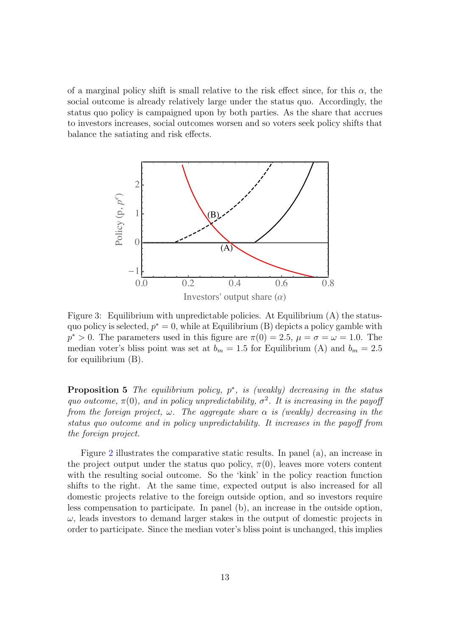of a marginal policy shift is small relative to the risk effect since, for this  $\alpha$ , the social outcome is already relatively large under the status quo. Accordingly, the status quo policy is campaigned upon by both parties. As the share that accrues to investors increases, social outcomes worsen and so voters seek policy shifts that balance the satiating and risk effects.

<span id="page-19-0"></span>

Figure 3: Equilibrium with unpredictable policies. At Equilibrium (A) the statusquo policy is selected,  $p^* = 0$ , while at Equilibrium (B) depicts a policy gamble with  $p^* > 0$ . The parameters used in this figure are  $\pi(0) = 2.5$ ,  $\mu = \sigma = \omega = 1.0$ . The median voter's bliss point was set at  $b_m = 1.5$  for Equilibrium (A) and  $b_m = 2.5$ for equilibrium (B).

<span id="page-19-1"></span>Proposition 5 *The equilibrium policy, p*∗*, is (weakly) decreasing in the status quo outcome,*  $\pi(0)$ *, and in policy unpredictability,*  $\sigma^2$ *. It is increasing in the payoff from the foreign project*,  $\omega$ *. The aggregate share*  $\alpha$  *is (weakly) decreasing in the status quo outcome and in policy unpredictability. It increases in the payo*ff *from the foreign project.*

Figure [2](#page-17-0) illustrates the comparative static results. In panel (a), an increase in the project output under the status quo policy,  $\pi(0)$ , leaves more voters content with the resulting social outcome. So the 'kink' in the policy reaction function shifts to the right. At the same time, expected output is also increased for all domestic projects relative to the foreign outside option, and so investors require less compensation to participate. In panel (b), an increase in the outside option,  $\omega$ , leads investors to demand larger stakes in the output of domestic projects in order to participate. Since the median voter's bliss point is unchanged, this implies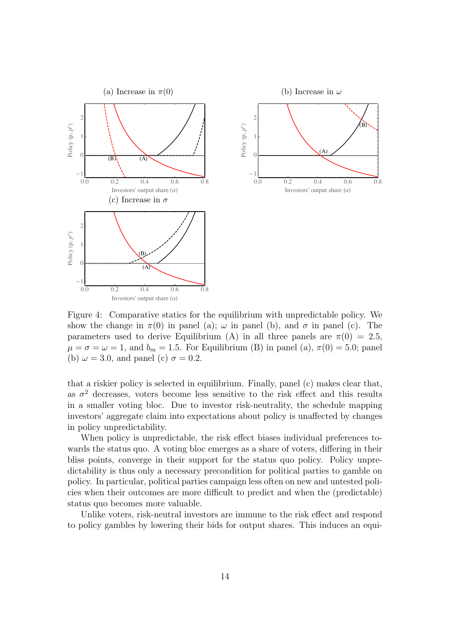

Figure 4: Comparative statics for the equilibrium with unpredictable policy. We show the change in  $\pi(0)$  in panel (a);  $\omega$  in panel (b), and  $\sigma$  in panel (c). The parameters used to derive Equilibrium (A) in all three panels are  $\pi(0) = 2.5$ ,  $\mu = \sigma = \omega = 1$ , and  $b_m = 1.5$ . For Equilibrium (B) in panel (a),  $\pi(0) = 5.0$ ; panel (b)  $\omega = 3.0$ , and panel (c)  $\sigma = 0.2$ .

that a riskier policy is selected in equilibrium. Finally, panel (c) makes clear that, as  $\sigma^2$  decreases, voters become less sensitive to the risk effect and this results in a smaller voting bloc. Due to investor risk-neutrality, the schedule mapping investors' aggregate claim into expectations about policy is unaffected by changes in policy unpredictability.

When policy is unpredictable, the risk effect biases individual preferences towards the status quo. A voting bloc emerges as a share of voters, differing in their bliss points, converge in their support for the status quo policy. Policy unpredictability is thus only a necessary precondition for political parties to gamble on policy. In particular, political parties campaign less often on new and untested policies when their outcomes are more difficult to predict and when the (predictable) status quo becomes more valuable.

Unlike voters, risk-neutral investors are immune to the risk effect and respond to policy gambles by lowering their bids for output shares. This induces an equi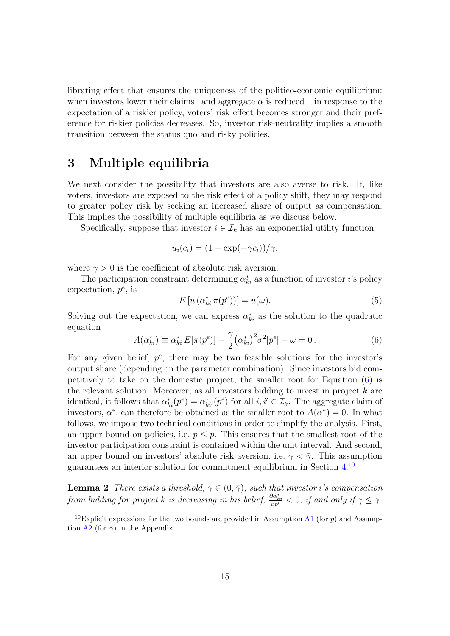librating effect that ensures the uniqueness of the politico-economic equilibrium: when investors lower their claims –and aggregate  $\alpha$  is reduced – in response to the expectation of a riskier policy, voters' risk effect becomes stronger and their preference for riskier policies decreases. So, investor risk-neutrality implies a smooth transition between the status quo and risky policies.

### 3 Multiple equilibria

We next consider the possibility that investors are also averse to risk. If, like voters, investors are exposed to the risk effect of a policy shift, they may respond to greater policy risk by seeking an increased share of output as compensation. This implies the possibility of multiple equilibria as we discuss below.

Specifically, suppose that investor  $i \in \mathcal{I}_k$  has an exponential utility function:

$$
u_i(c_i) = (1 - \exp(-\gamma c_i))/\gamma,
$$

where  $\gamma > 0$  is the coefficient of absolute risk aversion.

The participation constraint determining  $\alpha_{ki}^*$  as a function of investor *i*'s policy expectation, *p<sup>e</sup>*, is

$$
E\left[u\left(\alpha_{ki}^*\,\pi(p^e)\right)\right] = u(\omega). \tag{5}
$$

Solving out the expectation, we can express  $\alpha_{ki}^*$  as the solution to the quadratic equation

<span id="page-21-0"></span>
$$
A(\alpha_{ki}^*) \equiv \alpha_{ki}^* E[\pi(p^e)] - \frac{\gamma}{2} (\alpha_{ki}^*)^2 \sigma^2 |p^e| - \omega = 0.
$$
 (6)

For any given belief, *p<sup>e</sup>*, there may be two feasible solutions for the investor's output share (depending on the parameter combination). Since investors bid competitively to take on the domestic project, the smaller root for Equation ([6](#page-21-0)) is the relevant solution. Moreover, as all investors bidding to invest in project *k* are identical, it follows that  $\alpha_{ki}^*(p^e) = \alpha_{ki'}^*(p^e)$  for all  $i, i' \in \mathcal{I}_k$ . The aggregate claim of investors,  $\alpha^*$ , can therefore be obtained as the smaller root to  $A(\alpha^*)=0$ . In what follows, we impose two technical conditions in order to simplify the analysis. First, an upper bound on policies, i.e.  $p \leq \bar{p}$ . This ensures that the smallest root of the investor participation constraint is contained within the unit interval. And second, an upper bound on investors' absolute risk aversion, i.e.  $\gamma < \bar{\gamma}$ . This assumption guarantees an interior solution for commitment equilibrium in Section [4.](#page-23-0) 10

<span id="page-21-1"></span>**Lemma 2** *There exists a threshold*,  $\hat{\gamma} \in (0, \bar{\gamma})$ *, such that investor i*'s *compensation* from bidding for project k is decreasing in his belief,  $\frac{\partial \alpha_{ki}^*}{\partial p^e} < 0$ , if and only if  $\gamma \leq \hat{\gamma}$ .

<sup>&</sup>lt;sup>10</sup>Explicit expressions for the two bounds are provided in Assumption [A1](#page-43-0) (for  $\bar{p}$ ) and Assump-tion [A2](#page-47-0) (for  $\bar{\gamma}$ ) in the Appendix.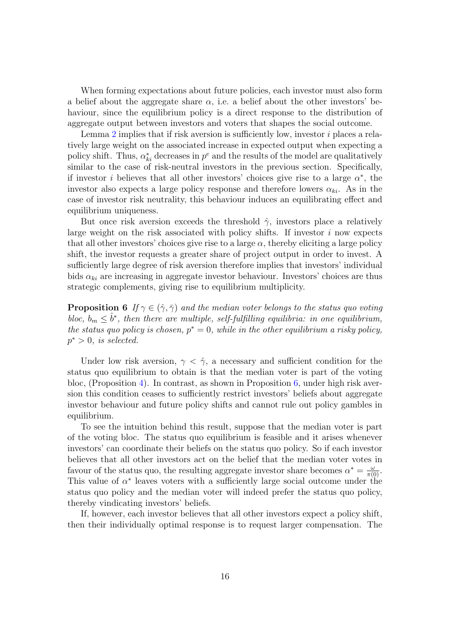When forming expectations about future policies, each investor must also form a belief about the aggregate share  $\alpha$ , i.e. a belief about the other investors' behaviour, since the equilibrium policy is a direct response to the distribution of aggregate output between investors and voters that shapes the social outcome.

Lemma [2](#page-21-1) implies that if risk aversion is sufficiently low, investor *i* places a relatively large weight on the associated increase in expected output when expecting a policy shift. Thus,  $\alpha_{ki}^*$  decreases in  $p^e$  and the results of the model are qualitatively similar to the case of risk-neutral investors in the previous section. Specifically, if investor *i* believes that all other investors' choices give rise to a large  $\alpha^*$ , the investor also expects a large policy response and therefore lowers  $\alpha_{ki}$ . As in the case of investor risk neutrality, this behaviour induces an equilibrating effect and equilibrium uniqueness.

But once risk aversion exceeds the threshold  $\hat{\gamma}$ , investors place a relatively large weight on the risk associated with policy shifts. If investor *i* now expects that all other investors' choices give rise to a large  $\alpha$ , thereby eliciting a large policy shift, the investor requests a greater share of project output in order to invest. A sufficiently large degree of risk aversion therefore implies that investors' individual bids  $\alpha_{ki}$  are increasing in aggregate investor behaviour. Investors' choices are thus strategic complements, giving rise to equilibrium multiplicity.

<span id="page-22-0"></span>**Proposition 6** If  $\gamma \in (\hat{\gamma}, \bar{\gamma})$  and the median voter belongs to the status quo voting *bloc,*  $b_m \leq \hat{b}^*$ , *then there are multiple, self-fulfilling equilibria: in one equilibrium, the status quo policy is chosen,*  $p^* = 0$ *, while in the other equilibrium a risky policy,*  $p^* > 0$ *, is selected.* 

Under low risk aversion,  $\gamma < \hat{\gamma}$ , a necessary and sufficient condition for the status quo equilibrium to obtain is that the median voter is part of the voting bloc, (Proposition [4\)](#page-18-1). In contrast, as shown in Proposition [6,](#page-22-0) under high risk aversion this condition ceases to sufficiently restrict investors' beliefs about aggregate investor behaviour and future policy shifts and cannot rule out policy gambles in equilibrium.

To see the intuition behind this result, suppose that the median voter is part of the voting bloc. The status quo equilibrium is feasible and it arises whenever investors' can coordinate their beliefs on the status quo policy. So if each investor believes that all other investors act on the belief that the median voter votes in favour of the status quo, the resulting aggregate investor share becomes  $\alpha^* = \frac{\omega}{\pi(0)}$ . This value of  $\alpha^*$  leaves voters with a sufficiently large social outcome under the status quo policy and the median voter will indeed prefer the status quo policy, thereby vindicating investors' beliefs.

If, however, each investor believes that all other investors expect a policy shift, then their individually optimal response is to request larger compensation. The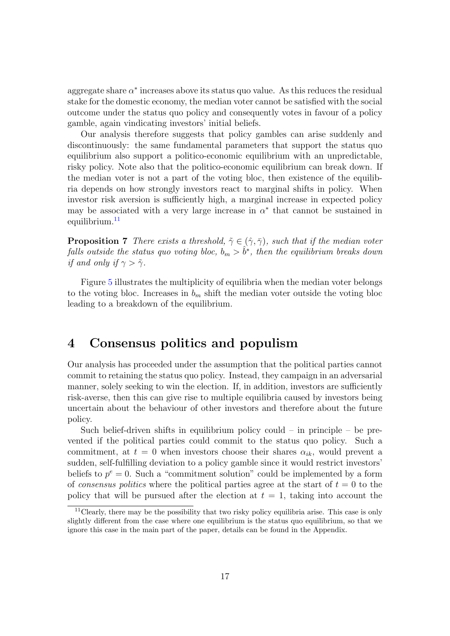aggregate share  $\alpha^*$  increases above its status quo value. As this reduces the residual stake for the domestic economy, the median voter cannot be satisfied with the social outcome under the status quo policy and consequently votes in favour of a policy gamble, again vindicating investors' initial beliefs.

Our analysis therefore suggests that policy gambles can arise suddenly and discontinuously: the same fundamental parameters that support the status quo equilibrium also support a politico-economic equilibrium with an unpredictable, risky policy. Note also that the politico-economic equilibrium can break down. If the median voter is not a part of the voting bloc, then existence of the equilibria depends on how strongly investors react to marginal shifts in policy. When investor risk aversion is sufficiently high, a marginal increase in expected policy may be associated with a very large increase in  $\alpha^*$  that cannot be sustained in equilibrium. 11

<span id="page-23-1"></span>**Proposition 7** *There exists a threshold*,  $\tilde{\gamma} \in (\hat{\gamma}, \bar{\gamma})$ *, such that if the median voter falls outside the status quo voting bloc,*  $b_m > \hat{b}^*$ , *then the equilibrium breaks down if* and only if  $\gamma > \tilde{\gamma}$ .

Figure [5](#page-24-0) illustrates the multiplicity of equilibria when the median voter belongs to the voting bloc. Increases in  $b_m$  shift the median voter outside the voting bloc leading to a breakdown of the equilibrium.

### <span id="page-23-0"></span>4 Consensus politics and populism

Our analysis has proceeded under the assumption that the political parties cannot commit to retaining the status quo policy. Instead, they campaign in an adversarial manner, solely seeking to win the election. If, in addition, investors are sufficiently risk-averse, then this can give rise to multiple equilibria caused by investors being uncertain about the behaviour of other investors and therefore about the future policy.

Such belief-driven shifts in equilibrium policy could  $-$  in principle  $-$  be prevented if the political parties could commit to the status quo policy. Such a commitment, at  $t = 0$  when investors choose their shares  $\alpha_{ik}$ , would prevent a sudden, self-fulfilling deviation to a policy gamble since it would restrict investors' beliefs to  $p^e = 0$ . Such a "commitment solution" could be implemented by a form of *consensus politics* where the political parties agree at the start of  $t = 0$  to the policy that will be pursued after the election at  $t = 1$ , taking into account the

<sup>&</sup>lt;sup>11</sup>Clearly, there may be the possibility that two risky policy equilibria arise. This case is only slightly different from the case where one equilibrium is the status quo equilibrium, so that we ignore this case in the main part of the paper, details can be found in the Appendix.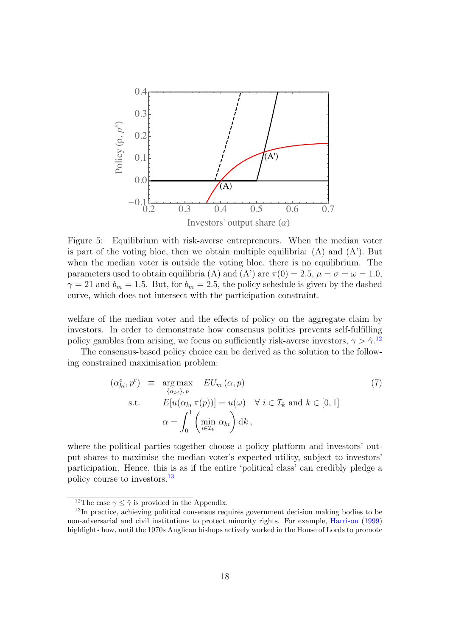<span id="page-24-0"></span>

Figure 5: Equilibrium with risk-averse entrepreneurs. When the median voter is part of the voting bloc, then we obtain multiple equilibria:  $(A)$  and  $(A')$ . But when the median voter is outside the voting bloc, there is no equilibrium. The parameters used to obtain equilibria (A) and (A') are  $\pi(0) = 2.5$ ,  $\mu = \sigma = \omega = 1.0$ ,  $\gamma = 21$  and  $b_m = 1.5$ . But, for  $b_m = 2.5$ , the policy schedule is given by the dashed curve, which does not intersect with the participation constraint.

welfare of the median voter and the effects of policy on the aggregate claim by investors. In order to demonstrate how consensus politics prevents self-fulfilling policy gambles from arising, we focus on sufficiently risk-averse investors,  $\gamma > \hat{\gamma}$ .<sup>12</sup>

The consensus-based policy choice can be derived as the solution to the following constrained maximisation problem:

$$
(\alpha_{ki}^c, p^c) \equiv \underset{\{\alpha_{ki}\}, p}{\arg \max} \quad EU_m(\alpha, p)
$$
  
s.t. 
$$
E[u(\alpha_{ki} \pi(p))] = u(\omega) \quad \forall \ i \in \mathcal{I}_k \text{ and } k \in [0, 1]
$$

$$
\alpha = \int_0^1 \left(\underset{i \in \mathcal{I}_k}{\min} \alpha_{ki}\right) dk,
$$
 (7)

where the political parties together choose a policy platform and investors' output shares to maximise the median voter's expected utility, subject to investors' participation. Hence, this is as if the entire 'political class' can credibly pledge a policy course to investors.<sup>13</sup>

<span id="page-24-1"></span><sup>&</sup>lt;sup>12</sup>The case  $\gamma \leq \hat{\gamma}$  is provided in the Appendix.<br><sup>13</sup>In practice, achieving political consensus requires government decision making bodies to be non-adversarial and civil institutions to protect minority rights. For example, [Harrison](#page-37-11) [\(1999](#page-37-11)) highlights how, until the 1970s Anglican bishops actively worked in the House of Lords to promote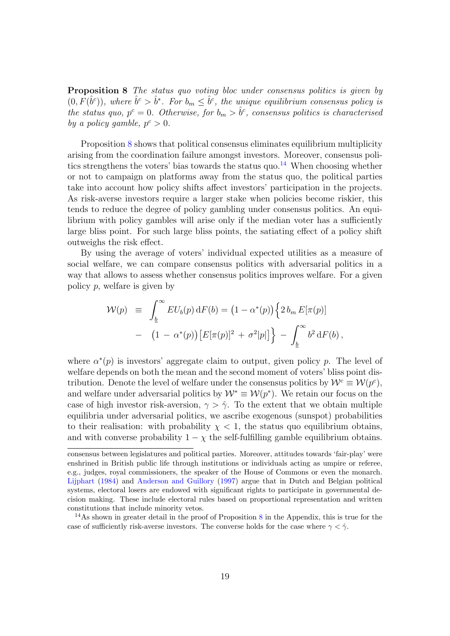Proposition 8 *The status quo voting bloc under consensus politics is given by*  $(0, F(\hat{b}^c))$ , where  $\hat{b}^c > \hat{b}^*$ . For  $b_m \leq \hat{b}^c$ , the unique equilibrium consensus policy is *the status quo,*  $p^c = 0$ *. Otherwise, for*  $b_m > \hat{b}^c$ *, consensus politics is characterised by a policy gamble*,  $p^c > 0$ *.* 

Proposition [8](#page-24-1) shows that political consensus eliminates equilibrium multiplicity arising from the coordination failure amongst investors. Moreover, consensus politics strengthens the voters' bias towards the status quo. <sup>14</sup> When choosing whether or not to campaign on platforms away from the status quo, the political parties take into account how policy shifts affect investors' participation in the projects. As risk-averse investors require a larger stake when policies become riskier, this tends to reduce the degree of policy gambling under consensus politics. An equilibrium with policy gambles will arise only if the median voter has a sufficiently large bliss point. For such large bliss points, the satiating effect of a policy shift outweighs the risk effect.

By using the average of voters' individual expected utilities as a measure of social welfare, we can compare consensus politics with adversarial politics in a way that allows to assess whether consensus politics improves welfare. For a given policy *p*, welfare is given by

$$
\mathcal{W}(p) \equiv \int_{\underline{b}}^{\infty} EU_b(p) dF(b) = (1 - \alpha^*(p)) \left\{ 2 b_m E[\pi(p)] - (1 - \alpha^*(p)) [E[\pi(p)]^2 + \sigma^2|p|] \right\} - \int_{\underline{b}}^{\infty} b^2 dF(b),
$$

where  $\alpha^*(p)$  is investors' aggregate claim to output, given policy *p*. The level of welfare depends on both the mean and the second moment of voters' bliss point distribution. Denote the level of welfare under the consensus politics by  $W^c \equiv W(p^c)$ , and welfare under adversarial politics by  $W^* \equiv W(p^*)$ . We retain our focus on the case of high investor risk-aversion,  $\gamma > \hat{\gamma}$ . To the extent that we obtain multiple equilibria under adversarial politics, we ascribe exogenous (sunspot) probabilities to their realisation: with probability  $\chi$  < 1, the status quo equilibrium obtains, and with converse probability  $1 - \chi$  the self-fulfilling gamble equilibrium obtains.

consensus between legislatures and political parties. Moreover, attitudes towards 'fair-play' were enshrined in British public life through institutions or individuals acting as umpire or referee, e.g., judges, royal commissioners, the speaker of the House of Commons or even the monarch. [Lijphart](#page-37-12) [\(1984](#page-37-12)) and [Anderson](#page-35-11) and Guillory ([1997](#page-35-11)) argue that in Dutch and Belgian political systems, electoral losers are endowed with significant rights to participate in governmental decision making. These include electoral rules based on proportional representation and written constitutions that include minority vetos.

 $14$ As shown in greater detail in the proof of Proposition [8](#page-24-1) in the Appendix, this is true for the case of sufficiently risk-averse investors. The converse holds for the case where  $\gamma < \hat{\gamma}$ .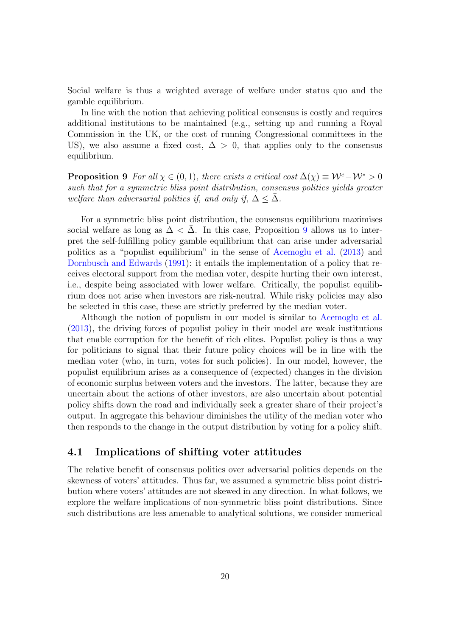Social welfare is thus a weighted average of welfare under status quo and the gamble equilibrium.

In line with the notion that achieving political consensus is costly and requires additional institutions to be maintained (e.g., setting up and running a Royal Commission in the UK, or the cost of running Congressional committees in the US), we also assume a fixed cost,  $\Delta > 0$ , that applies only to the consensus equilibrium.

<span id="page-26-0"></span>**Proposition 9** For all  $\chi \in (0,1)$ , there exists a critical cost  $\bar{\Delta}(\chi) \equiv \mathcal{W}^c - \mathcal{W}^* > 0$ *such that for a symmetric bliss point distribution, consensus politics yields greater welfare than adversarial politics if, and only if,*  $\Delta \leq \Delta$ .

For a symmetric bliss point distribution, the consensus equilibrium maximises social welfare as long as  $\Delta < \overline{\Delta}$ . In this case, Proposition [9](#page-26-0) allows us to interpret the self-fulfilling policy gamble equilibrium that can arise under adversarial politics as a "populist equilibrium" in the sense of [Acemoglu](#page-35-6) et al. [\(2013](#page-35-6)) and [Dornbusch](#page-36-1) and Edwards [\(1991\)](#page-36-1): it entails the implementation of a policy that receives electoral support from the median voter, despite hurting their own interest, i.e., despite being associated with lower welfare. Critically, the populist equilibrium does not arise when investors are risk-neutral. While risky policies may also be selected in this case, these are strictly preferred by the median voter.

Although the notion of populism in our model is similar to [Acemoglu](#page-35-6) et al. ([2013](#page-35-6)), the driving forces of populist policy in their model are weak institutions that enable corruption for the benefit of rich elites. Populist policy is thus a way for politicians to signal that their future policy choices will be in line with the median voter (who, in turn, votes for such policies). In our model, however, the populist equilibrium arises as a consequence of (expected) changes in the division of economic surplus between voters and the investors. The latter, because they are uncertain about the actions of other investors, are also uncertain about potential policy shifts down the road and individually seek a greater share of their project's output. In aggregate this behaviour diminishes the utility of the median voter who then responds to the change in the output distribution by voting for a policy shift.

### 4.1 Implications of shifting voter attitudes

The relative benefit of consensus politics over adversarial politics depends on the skewness of voters' attitudes. Thus far, we assumed a symmetric bliss point distribution where voters' attitudes are not skewed in any direction. In what follows, we explore the welfare implications of non-symmetric bliss point distributions. Since such distributions are less amenable to analytical solutions, we consider numerical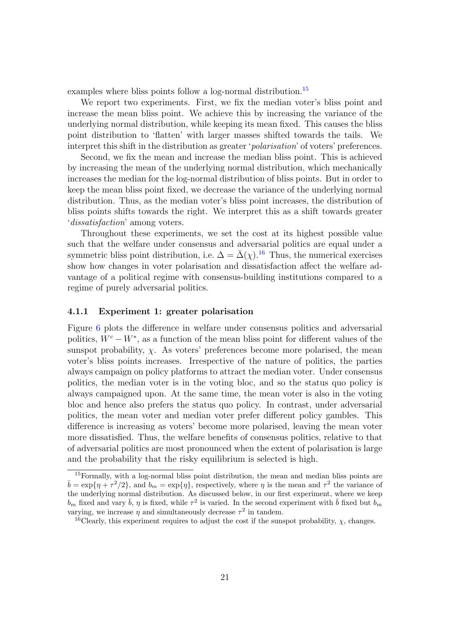examples where bliss points follow a log-normal distribution.<sup>15</sup>

We report two experiments. First, we fix the median voter's bliss point and increase the mean bliss point. We achieve this by increasing the variance of the underlying normal distribution, while keeping its mean fixed. This causes the bliss point distribution to 'flatten' with larger masses shifted towards the tails. We interpret this shift in the distribution as greater '*polarisation*' of voters' preferences.

Second, we fix the mean and increase the median bliss point. This is achieved by increasing the mean of the underlying normal distribution, which mechanically increases the median for the log-normal distribution of bliss points. But in order to keep the mean bliss point fixed, we decrease the variance of the underlying normal distribution. Thus, as the median voter's bliss point increases, the distribution of bliss points shifts towards the right. We interpret this as a shift towards greater '*dissatisfaction*' among voters.

Throughout these experiments, we set the cost at its highest possible value such that the welfare under consensus and adversarial politics are equal under a symmetric bliss point distribution, i.e.  $\Delta = \bar{\Delta}(\chi)$ .<sup>16</sup> Thus, the numerical exercises show how changes in voter polarisation and dissatisfaction affect the welfare advantage of a political regime with consensus-building institutions compared to a regime of purely adversarial politics.

#### 4.1.1 Experiment 1: greater polarisation

Figure [6](#page-28-0) plots the difference in welfare under consensus politics and adversarial politics,  $W^c - W^*$ , as a function of the mean bliss point for different values of the sunspot probability,  $\chi$ . As voters' preferences become more polarised, the mean voter's bliss points increases. Irrespective of the nature of politics, the parties always campaign on policy platforms to attract the median voter. Under consensus politics, the median voter is in the voting bloc, and so the status quo policy is always campaigned upon. At the same time, the mean voter is also in the voting bloc and hence also prefers the status quo policy. In contrast, under adversarial politics, the mean voter and median voter prefer different policy gambles. This difference is increasing as voters' become more polarised, leaving the mean voter more dissatisfied. Thus, the welfare benefits of consensus politics, relative to that of adversarial politics are most pronounced when the extent of polarisation is large and the probability that the risky equilibrium is selected is high.

<sup>&</sup>lt;sup>15</sup>Formally, with a log-normal bliss point distribution, the mean and median bliss points are  $\bar{b} = \exp{\{\eta + \tau^2/2\}}$ , and  $b_m = \exp{\{\eta\}}$ , respectively, where  $\eta$  is the mean and  $\tau^2$  the variance of the underlying normal distribution. As discussed below, in our first experiment, where we keep  $b_m$  fixed and vary  $\bar{b}$ ,  $\eta$  is fixed, while  $\tau^2$  is varied. In the second experiment with  $\bar{b}$  fixed but  $b_m$ varying, we increase  $\eta$  and simultaneously decrease  $\tau^2$  in tandem.

<sup>&</sup>lt;sup>16</sup>Clearly, this experiment requires to adjust the cost if the sunspot probability,  $\chi$ , changes.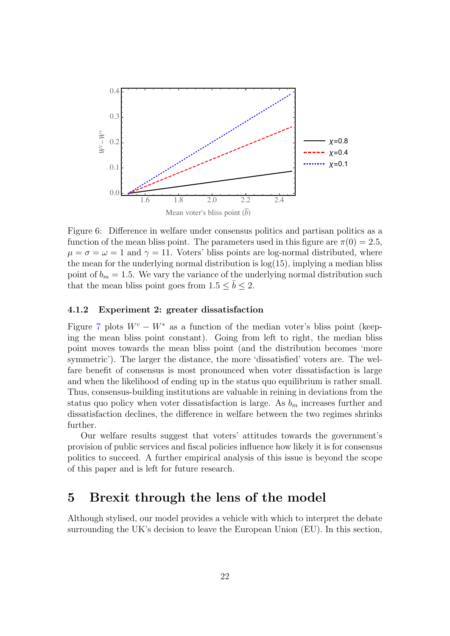<span id="page-28-0"></span>

Figure 6: Difference in welfare under consensus politics and partisan politics as a function of the mean bliss point. The parameters used in this figure are  $\pi(0) = 2.5$ ,  $\mu = \sigma = \omega = 1$  and  $\gamma = 11$ . Voters' bliss points are log-normal distributed, where the mean for the underlying normal distribution is  $log(15)$ , implying a median bliss point of  $b_m = 1.5$ . We vary the variance of the underlying normal distribution such that the mean bliss point goes from  $1.5 \leq \bar{b} \leq 2$ .

#### 4.1.2 Experiment 2: greater dissatisfaction

Figure [7](#page-29-0) plots  $W^c - W^*$  as a function of the median voter's bliss point (keeping the mean bliss point constant). Going from left to right, the median bliss point moves towards the mean bliss point (and the distribution becomes 'more symmetric'). The larger the distance, the more 'dissatisfied' voters are. The welfare benefit of consensus is most pronounced when voter dissatisfaction is large and when the likelihood of ending up in the status quo equilibrium is rather small. Thus, consensus-building institutions are valuable in reining in deviations from the status quo policy when voter dissatisfaction is large. As *b<sup>m</sup>* increases further and dissatisfaction declines, the difference in welfare between the two regimes shrinks further.

Our welfare results suggest that voters' attitudes towards the government's provision of public services and fiscal policies influence how likely it is for consensus politics to succeed. A further empirical analysis of this issue is beyond the scope of this paper and is left for future research.

### 5 Brexit through the lens of the model

Although stylised, our model provides a vehicle with which to interpret the debate surrounding the UK's decision to leave the European Union (EU). In this section,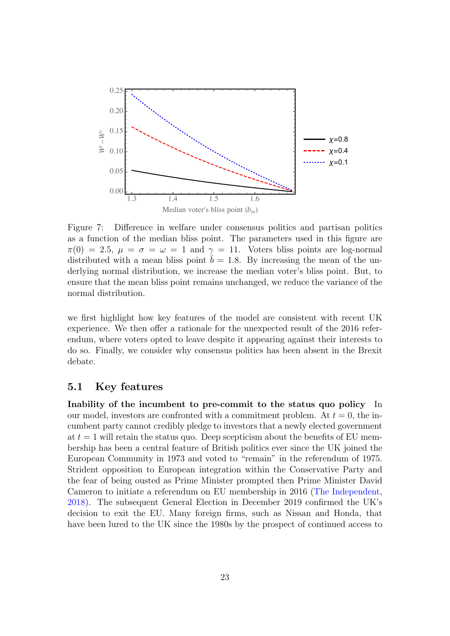<span id="page-29-0"></span>

Figure 7: Difference in welfare under consensus politics and partisan politics as a function of the median bliss point. The parameters used in this figure are  $\pi(0) = 2.5$ ,  $\mu = \sigma = \omega = 1$  and  $\gamma = 11$ . Voters bliss points are log-normal distributed with a mean bliss point  $\overline{b} = 1.8$ . By increasing the mean of the underlying normal distribution, we increase the median voter's bliss point. But, to ensure that the mean bliss point remains unchanged, we reduce the variance of the normal distribution.

we first highlight how key features of the model are consistent with recent UK experience. We then offer a rationale for the unexpected result of the 2016 referendum, where voters opted to leave despite it appearing against their interests to do so. Finally, we consider why consensus politics has been absent in the Brexit debate.

### 5.1 Key features

Inability of the incumbent to pre-commit to the status quo policy In our model, investors are confronted with a commitment problem. At  $t = 0$ , the incumbent party cannot credibly pledge to investors that a newly elected government at  $t = 1$  will retain the status quo. Deep scepticism about the benefits of EU membership has been a central feature of British politics ever since the UK joined the European Community in 1973 and voted to "remain" in the referendum of 1975. Strident opposition to European integration within the Conservative Party and the fear of being ousted as Prime Minister prompted then Prime Minister David Cameron to initiate a referendum on EU membership in 2016 (The [Independent,](#page-38-3) [2018\)](#page-38-3). The subsequent General Election in December 2019 confirmed the UK's decision to exit the EU. Many foreign firms, such as Nissan and Honda, that have been lured to the UK since the 1980s by the prospect of continued access to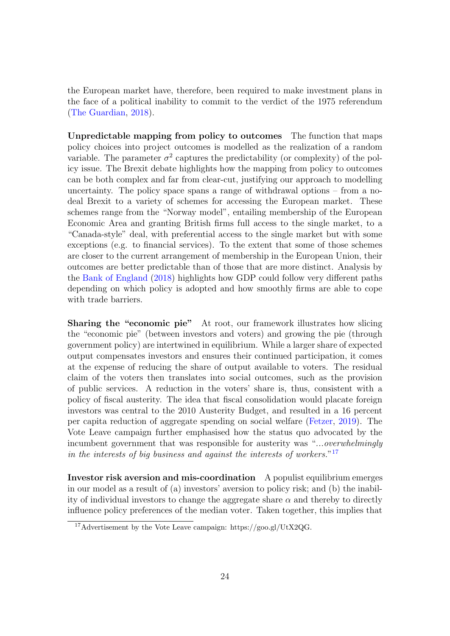the European market have, therefore, been required to make investment plans in the face of a political inability to commit to the verdict of the 1975 referendum (The [Guardian](#page-38-4), [2018\)](#page-38-4).

Unpredictable mapping from policy to outcomes The function that maps policy choices into project outcomes is modelled as the realization of a random variable. The parameter  $\sigma^2$  captures the predictability (or complexity) of the policy issue. The Brexit debate highlights how the mapping from policy to outcomes can be both complex and far from clear-cut, justifying our approach to modelling uncertainty. The policy space spans a range of withdrawal options – from a nodeal Brexit to a variety of schemes for accessing the European market. These schemes range from the "Norway model", entailing membership of the European Economic Area and granting British firms full access to the single market, to a "Canada-style" deal, with preferential access to the single market but with some exceptions (e.g. to financial services). To the extent that some of those schemes are closer to the current arrangement of membership in the European Union, their outcomes are better predictable than of those that are more distinct. Analysis by the Bank of [England](#page-37-0) ([2018](#page-37-0)) highlights how GDP could follow very different paths depending on which policy is adopted and how smoothly firms are able to cope with trade barriers.

Sharing the "economic pie" At root, our framework illustrates how slicing the "economic pie" (between investors and voters) and growing the pie (through government policy) are intertwined in equilibrium. While a larger share of expected output compensates investors and ensures their continued participation, it comes at the expense of reducing the share of output available to voters. The residual claim of the voters then translates into social outcomes, such as the provision of public services. A reduction in the voters' share is, thus, consistent with a policy of fiscal austerity. The idea that fiscal consolidation would placate foreign investors was central to the 2010 Austerity Budget, and resulted in a 16 percent per capita reduction of aggregate spending on social welfare [\(Fetzer](#page-37-8), [2019](#page-37-8)). The Vote Leave campaign further emphasised how the status quo advocated by the incumbent government that was responsible for austerity was "*...overwhelmingly in the interests of big business and against the interests of workers.*"<sup>17</sup>

Investor risk aversion and mis-coordination A populist equilibrium emerges in our model as a result of (a) investors' aversion to policy risk; and (b) the inability of individual investors to change the aggregate share  $\alpha$  and thereby to directly influence policy preferences of the median voter. Taken together, this implies that

<sup>17</sup>Advertisement by the Vote Leave campaign: https://goo.gl/UtX2QG.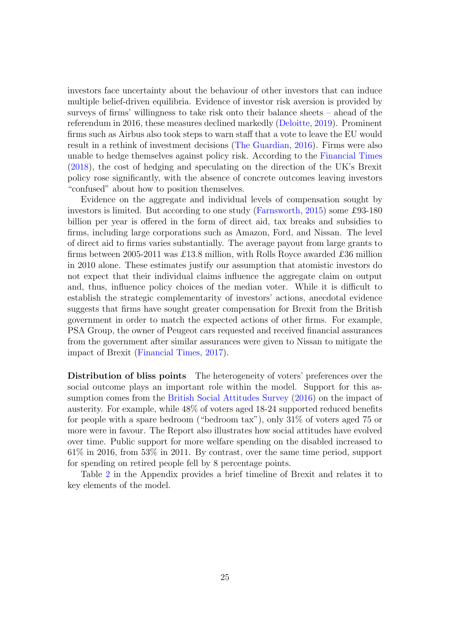investors face uncertainty about the behaviour of other investors that can induce multiple belief-driven equilibria. Evidence of investor risk aversion is provided by surveys of firms' willingness to take risk onto their balance sheets – ahead of the referendum in 2016, these measures declined markedly [\(Deloitte,](#page-36-13) [2019\)](#page-36-13). Prominent firms such as Airbus also took steps to warn staff that a vote to leave the EU would result in a rethink of investment decisions (The [Guardian,](#page-38-5) [2016](#page-38-5)). Firms were also unable to hedge themselves against policy risk. According to the [Financial](#page-38-6) Times ([2018](#page-38-6)), the cost of hedging and speculating on the direction of the UK's Brexit policy rose significantly, with the absence of concrete outcomes leaving investors "confused" about how to position themselves.

Evidence on the aggregate and individual levels of compensation sought by investors is limited. But according to one study ([Farnsworth](#page-37-13), [2015\)](#page-37-13) some £93-180 billion per year is offered in the form of direct aid, tax breaks and subsidies to firms, including large corporations such as Amazon, Ford, and Nissan. The level of direct aid to firms varies substantially. The average payout from large grants to firms between 2005-2011 was £13.8 million, with Rolls Royce awarded £36 million in 2010 alone. These estimates justify our assumption that atomistic investors do not expect that their individual claims influence the aggregate claim on output and, thus, influence policy choices of the median voter. While it is difficult to establish the strategic complementarity of investors' actions, anecdotal evidence suggests that firms have sought greater compensation for Brexit from the British government in order to match the expected actions of other firms. For example, PSA Group, the owner of Peugeot cars requested and received financial assurances from the government after similar assurances were given to Nissan to mitigate the impact of Brexit [\(Financial](#page-38-7) Times, [2017](#page-38-7)).

Distribution of bliss points The heterogeneity of voters' preferences over the social outcome plays an important role within the model. Support for this assumption comes from the British Social [Attitudes](#page-38-8) Survey [\(2016\)](#page-38-8) on the impact of austerity. For example, while 48% of voters aged 18-24 supported reduced benefits for people with a spare bedroom ("bedroom tax"), only 31% of voters aged 75 or more were in favour. The Report also illustrates how social attitudes have evolved over time. Public support for more welfare spending on the disabled increased to 61% in 2016, from 53% in 2011. By contrast, over the same time period, support for spending on retired people fell by 8 percentage points.

Table [2](#page-48-0) in the Appendix provides a brief timeline of Brexit and relates it to key elements of the model.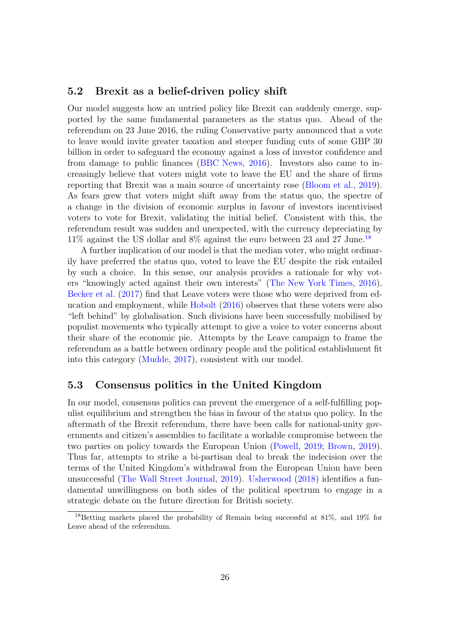### 5.2 Brexit as a belief-driven policy shift

Our model suggests how an untried policy like Brexit can suddenly emerge, supported by the same fundamental parameters as the status quo. Ahead of the referendum on 23 June 2016, the ruling Conservative party announced that a vote to leave would invite greater taxation and steeper funding cuts of some GBP 30 billion in order to safeguard the economy against a loss of investor confidence and from damage to public finances (BBC [News,](#page-38-9) [2016\)](#page-38-9). Investors also came to increasingly believe that voters might vote to leave the EU and the share of firms reporting that Brexit was a main source of uncertainty rose [\(Bloom](#page-35-1) et al., [2019](#page-35-1)). As fears grew that voters might shift away from the status quo, the spectre of a change in the division of economic surplus in favour of investors incentivised voters to vote for Brexit, validating the initial belief. Consistent with this, the referendum result was sudden and unexpected, with the currency depreciating by 11% against the US dollar and 8% against the euro between 23 and 27 June. 18

A further implication of our model is that the median voter, who might ordinarily have preferred the status quo, voted to leave the EU despite the risk entailed by such a choice. In this sense, our analysis provides a rationale for why voters "knowingly acted against their own interests" (The New York [Times,](#page-38-10) [2016](#page-38-10)). [Becker](#page-35-0) et al. ([2017](#page-35-0)) find that Leave voters were those who were deprived from education and employment, while [Hobolt](#page-37-7) ([2016\)](#page-37-7) observes that these voters were also "left behind" by globalisation. Such divisions have been successfully mobilised by populist movements who typically attempt to give a voice to voter concerns about their share of the economic pie. Attempts by the Leave campaign to frame the referendum as a battle between ordinary people and the political establishment fit into this category ([Mudde,](#page-38-11) [2017\)](#page-38-11), consistent with our model.

### 5.3 Consensus politics in the United Kingdom

In our model, consensus politics can prevent the emergence of a self-fulfilling populist equilibrium and strengthen the bias in favour of the status quo policy. In the aftermath of the Brexit referendum, there have been calls for national-unity governments and citizen's assemblies to facilitate a workable compromise between the two parties on policy towards the European Union ([Powell,](#page-38-12) [2019;](#page-38-12) [Brown](#page-35-12), [2019](#page-35-12)). Thus far, attempts to strike a bi-partisan deal to break the indecision over the terms of the United Kingdom's withdrawal from the European Union have been unsuccessful (The Wall Street [Journal,](#page-38-13) [2019](#page-38-13)). [Usherwood](#page-39-1) [\(2018\)](#page-39-1) identifies a fundamental unwillingness on both sides of the political spectrum to engage in a strategic debate on the future direction for British society.

<sup>18</sup>Betting markets placed the probability of Remain being successful at 81%, and 19% for Leave ahead of the referendum.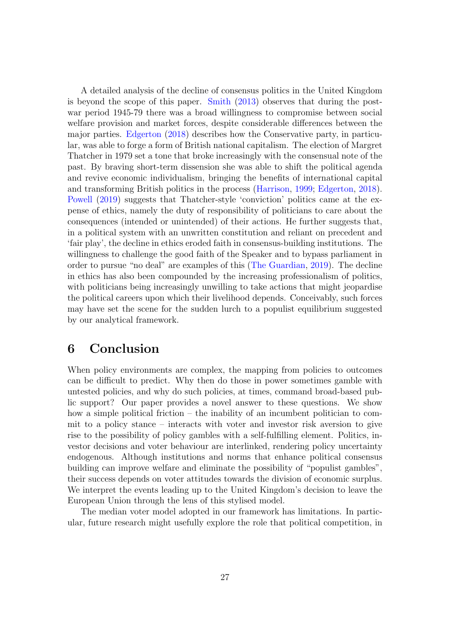A detailed analysis of the decline of consensus politics in the United Kingdom is beyond the scope of this paper. [Smith](#page-39-2) ([2013](#page-39-2)) observes that during the postwar period 1945-79 there was a broad willingness to compromise between social welfare provision and market forces, despite considerable differences between the major parties. [Edgerton](#page-36-14) [\(2018\)](#page-36-14) describes how the Conservative party, in particular, was able to forge a form of British national capitalism. The election of Margret Thatcher in 1979 set a tone that broke increasingly with the consensual note of the past. By braving short-term dissension she was able to shift the political agenda and revive economic individualism, bringing the benefits of international capital and transforming British politics in the process [\(Harrison](#page-37-11), [1999;](#page-37-11) [Edgerton,](#page-36-14) [2018](#page-36-14)). [Powell](#page-38-12) ([2019](#page-38-12)) suggests that Thatcher-style 'conviction' politics came at the expense of ethics, namely the duty of responsibility of politicians to care about the consequences (intended or unintended) of their actions. He further suggests that, in a political system with an unwritten constitution and reliant on precedent and 'fair play', the decline in ethics eroded faith in consensus-building institutions. The willingness to challenge the good faith of the Speaker and to bypass parliament in order to pursue "no deal" are examples of this (The [Guardian](#page-38-14), [2019](#page-38-14)). The decline in ethics has also been compounded by the increasing professionalism of politics, with politicians being increasingly unwilling to take actions that might jeopardise the political careers upon which their livelihood depends. Conceivably, such forces may have set the scene for the sudden lurch to a populist equilibrium suggested by our analytical framework.

### 6 Conclusion

When policy environments are complex, the mapping from policies to outcomes can be difficult to predict. Why then do those in power sometimes gamble with untested policies, and why do such policies, at times, command broad-based public support? Our paper provides a novel answer to these questions. We show how a simple political friction – the inability of an incumbent politician to commit to a policy stance – interacts with voter and investor risk aversion to give rise to the possibility of policy gambles with a self-fulfilling element. Politics, investor decisions and voter behaviour are interlinked, rendering policy uncertainty endogenous. Although institutions and norms that enhance political consensus building can improve welfare and eliminate the possibility of "populist gambles", their success depends on voter attitudes towards the division of economic surplus. We interpret the events leading up to the United Kingdom's decision to leave the European Union through the lens of this stylised model.

The median voter model adopted in our framework has limitations. In particular, future research might usefully explore the role that political competition, in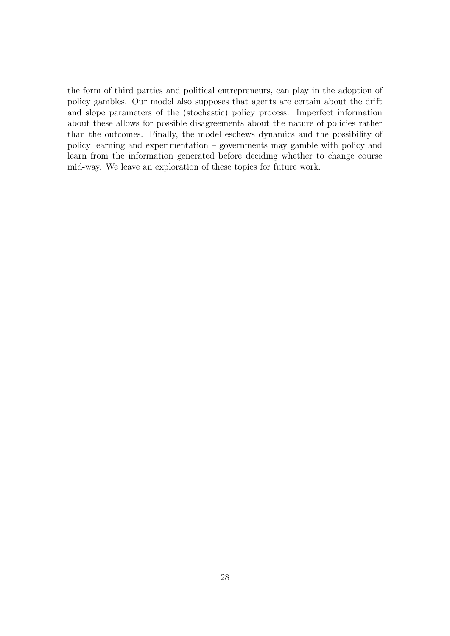the form of third parties and political entrepreneurs, can play in the adoption of policy gambles. Our model also supposes that agents are certain about the drift and slope parameters of the (stochastic) policy process. Imperfect information about these allows for possible disagreements about the nature of policies rather than the outcomes. Finally, the model eschews dynamics and the possibility of policy learning and experimentation – governments may gamble with policy and learn from the information generated before deciding whether to change course mid-way. We leave an exploration of these topics for future work.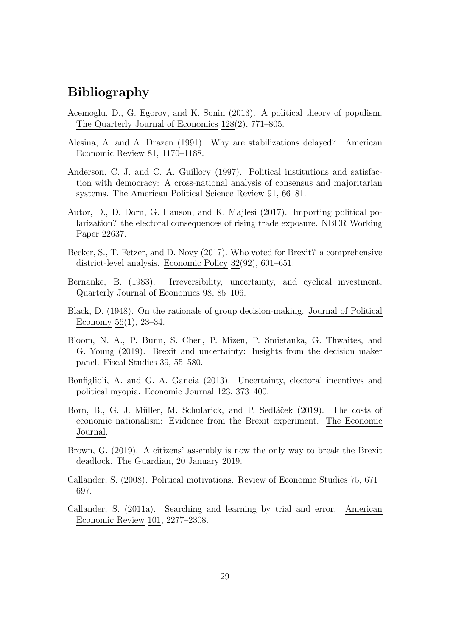### Bibliography

- <span id="page-35-6"></span>Acemoglu, D., G. Egorov, and K. Sonin (2013). A political theory of populism. The Quarterly Journal of Economics 128(2), 771–805.
- <span id="page-35-5"></span>Alesina, A. and A. Drazen (1991). Why are stabilizations delayed? American Economic Review 81, 1170–1188.
- <span id="page-35-11"></span>Anderson, C. J. and C. A. Guillory (1997). Political institutions and satisfaction with democracy: A cross-national analysis of consensus and majoritarian systems. The American Political Science Review 91, 66–81.
- <span id="page-35-2"></span>Autor, D., D. Dorn, G. Hanson, and K. Majlesi (2017). Importing political polarization? the electoral consequences of rising trade exposure. NBER Working Paper 22637.
- <span id="page-35-0"></span>Becker, S., T. Fetzer, and D. Novy (2017). Who voted for Brexit? a comprehensive district-level analysis. Economic Policy 32(92), 601–651.
- <span id="page-35-4"></span>Bernanke, B. (1983). Irreversibility, uncertainty, and cyclical investment. Quarterly Journal of Economics 98, 85–106.
- <span id="page-35-10"></span>Black, D. (1948). On the rationale of group decision-making. Journal of Political Economy 56(1), 23–34.
- <span id="page-35-1"></span>Bloom, N. A., P. Bunn, S. Chen, P. Mizen, P. Smietanka, G. Thwaites, and G. Young (2019). Brexit and uncertainty: Insights from the decision maker panel. Fiscal Studies 39, 55–580.
- <span id="page-35-7"></span>Bonfiglioli, A. and G. A. Gancia (2013). Uncertainty, electoral incentives and political myopia. Economic Journal 123, 373–400.
- <span id="page-35-9"></span>Born, B., G. J. Müller, M. Schularick, and P. Sedláček (2019). The costs of economic nationalism: Evidence from the Brexit experiment. The Economic Journal.
- <span id="page-35-12"></span>Brown, G. (2019). A citizens' assembly is now the only way to break the Brexit deadlock. The Guardian, 20 January 2019.
- <span id="page-35-8"></span>Callander, S. (2008). Political motivations. Review of Economic Studies 75, 671– 697.
- <span id="page-35-3"></span>Callander, S. (2011a). Searching and learning by trial and error. American Economic Review 101, 2277–2308.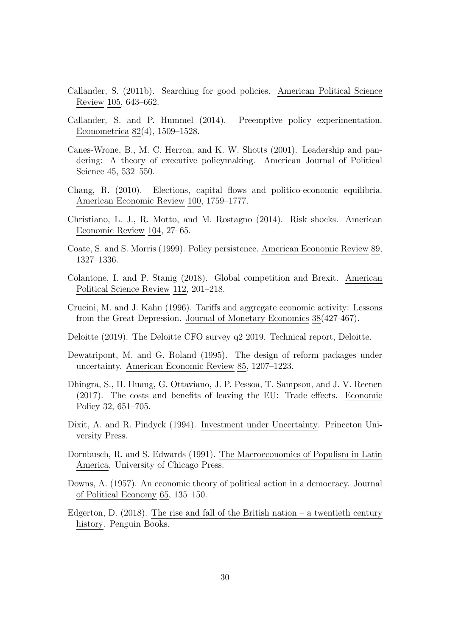- <span id="page-36-12"></span>Callander, S. (2011b). Searching for good policies. American Political Science Review 105, 643–662.
- <span id="page-36-0"></span>Callander, S. and P. Hummel (2014). Preemptive policy experimentation. Econometrica 82(4), 1509–1528.
- <span id="page-36-9"></span>Canes-Wrone, B., M. C. Herron, and K. W. Shotts (2001). Leadership and pandering: A theory of executive policymaking. American Journal of Political Science 45, 532–550.
- <span id="page-36-4"></span>Chang, R. (2010). Elections, capital flows and politico-economic equilibria. American Economic Review 100, 1759–1777.
- <span id="page-36-3"></span>Christiano, L. J., R. Motto, and M. Rostagno (2014). Risk shocks. American Economic Review 104, 27–65.
- <span id="page-36-5"></span>Coate, S. and S. Morris (1999). Policy persistence. American Economic Review 89, 1327–1336.
- <span id="page-36-8"></span>Colantone, I. and P. Stanig (2018). Global competition and Brexit. American Political Science Review 112, 201–218.
- <span id="page-36-11"></span>Crucini, M. and J. Kahn (1996). Tariffs and aggregate economic activity: Lessons from the Great Depression. Journal of Monetary Economics 38(427-467).
- <span id="page-36-13"></span>Deloitte (2019). The Deloitte CFO survey q2 2019. Technical report, Deloitte.
- <span id="page-36-6"></span>Dewatripont, M. and G. Roland (1995). The design of reform packages under uncertainty. American Economic Review 85, 1207–1223.
- <span id="page-36-7"></span>Dhingra, S., H. Huang, G. Ottaviano, J. P. Pessoa, T. Sampson, and J. V. Reenen (2017). The costs and benefits of leaving the EU: Trade effects. Economic Policy 32, 651–705.
- <span id="page-36-2"></span>Dixit, A. and R. Pindyck (1994). Investment under Uncertainty. Princeton University Press.
- <span id="page-36-1"></span>Dornbusch, R. and S. Edwards (1991). The Macroeconomics of Populism in Latin America. University of Chicago Press.
- <span id="page-36-10"></span>Downs, A. (1957). An economic theory of political action in a democracy. Journal of Political Economy 65, 135–150.
- <span id="page-36-14"></span>Edgerton, D.  $(2018)$ . The rise and fall of the British nation – a twentieth century history. Penguin Books.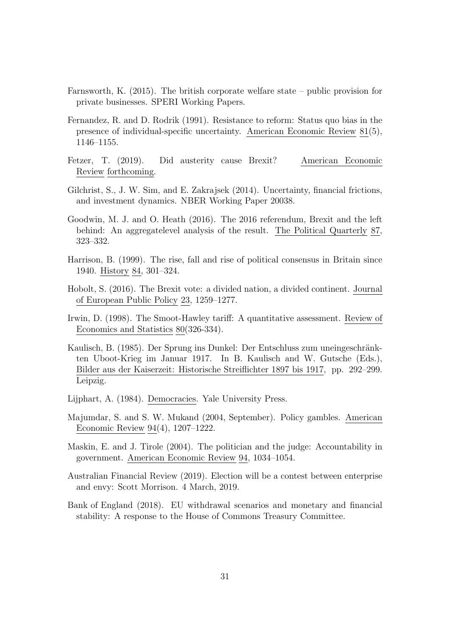- <span id="page-37-13"></span>Farnsworth, K. (2015). The british corporate welfare state – public provision for private businesses. SPERI Working Papers.
- <span id="page-37-6"></span>Fernandez, R. and D. Rodrik (1991). Resistance to reform: Status quo bias in the presence of individual-specific uncertainty. American Economic Review 81(5), 1146–1155.
- <span id="page-37-8"></span>Fetzer, T. (2019). Did austerity cause Brexit? American Economic Review forthcoming.
- <span id="page-37-5"></span>Gilchrist, S., J. W. Sim, and E. Zakrajsek (2014). Uncertainty, financial frictions, and investment dynamics. NBER Working Paper 20038.
- <span id="page-37-1"></span>Goodwin, M. J. and O. Heath (2016). The 2016 referendum, Brexit and the left behind: An aggregatelevel analysis of the result. The Political Quarterly 87, 323–332.
- <span id="page-37-11"></span>Harrison, B. (1999). The rise, fall and rise of political consensus in Britain since 1940. History 84, 301–324.
- <span id="page-37-7"></span>Hobolt, S. (2016). The Brexit vote: a divided nation, a divided continent. Journal of European Public Policy 23, 1259–1277.
- <span id="page-37-10"></span>Irwin, D. (1998). The Smoot-Hawley tariff: A quantitative assessment. Review of Economics and Statistics 80(326-334).
- <span id="page-37-2"></span>Kaulisch, B. (1985). Der Sprung ins Dunkel: Der Entschluss zum uneingeschränkten Uboot-Krieg im Januar 1917. In B. Kaulisch and W. Gutsche (Eds.), Bilder aus der Kaiserzeit: Historische Streiflichter 1897 bis 1917, pp. 292–299. Leipzig.
- <span id="page-37-12"></span>Lijphart, A. (1984). Democracies. Yale University Press.
- <span id="page-37-4"></span>Majumdar, S. and S. W. Mukand (2004, September). Policy gambles. American Economic Review 94(4), 1207–1222.
- <span id="page-37-9"></span>Maskin, E. and J. Tirole (2004). The politician and the judge: Accountability in government. American Economic Review 94, 1034–1054.
- <span id="page-37-3"></span>Australian Financial Review (2019). Election will be a contest between enterprise and envy: Scott Morrison. 4 March, 2019.
- <span id="page-37-0"></span>Bank of England (2018). EU withdrawal scenarios and monetary and financial stability: A response to the House of Commons Treasury Committee.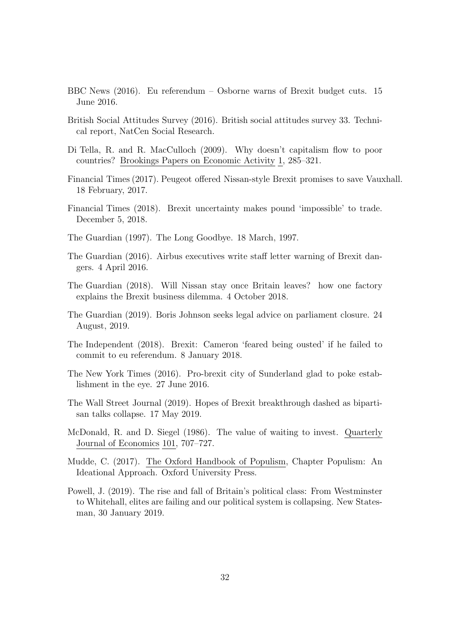- <span id="page-38-9"></span>BBC News (2016). Eu referendum – Osborne warns of Brexit budget cuts. 15 June 2016.
- <span id="page-38-8"></span>British Social Attitudes Survey (2016). British social attitudes survey 33. Technical report, NatCen Social Research.
- <span id="page-38-2"></span>Di Tella, R. and R. MacCulloch (2009). Why doesn't capitalism flow to poor countries? Brookings Papers on Economic Activity 1, 285–321.
- <span id="page-38-7"></span>Financial Times (2017). Peugeot offered Nissan-style Brexit promises to save Vauxhall. 18 February, 2017.
- <span id="page-38-6"></span>Financial Times (2018). Brexit uncertainty makes pound 'impossible' to trade. December 5, 2018.
- <span id="page-38-0"></span>The Guardian (1997). The Long Goodbye. 18 March, 1997.
- <span id="page-38-5"></span>The Guardian (2016). Airbus executives write staff letter warning of Brexit dangers. 4 April 2016.
- <span id="page-38-4"></span>The Guardian (2018). Will Nissan stay once Britain leaves? how one factory explains the Brexit business dilemma. 4 October 2018.
- <span id="page-38-14"></span>The Guardian (2019). Boris Johnson seeks legal advice on parliament closure. 24 August, 2019.
- <span id="page-38-3"></span>The Independent (2018). Brexit: Cameron 'feared being ousted' if he failed to commit to eu referendum. 8 January 2018.
- <span id="page-38-10"></span>The New York Times (2016). Pro-brexit city of Sunderland glad to poke establishment in the eye. 27 June 2016.
- <span id="page-38-13"></span>The Wall Street Journal (2019). Hopes of Brexit breakthrough dashed as bipartisan talks collapse. 17 May 2019.
- <span id="page-38-1"></span>McDonald, R. and D. Siegel (1986). The value of waiting to invest. Quarterly Journal of Economics 101, 707–727.
- <span id="page-38-11"></span>Mudde, C. (2017). The Oxford Handbook of Populism, Chapter Populism: An Ideational Approach. Oxford University Press.
- <span id="page-38-12"></span>Powell, J. (2019). The rise and fall of Britain's political class: From Westminster to Whitehall, elites are failing and our political system is collapsing. New Statesman, 30 January 2019.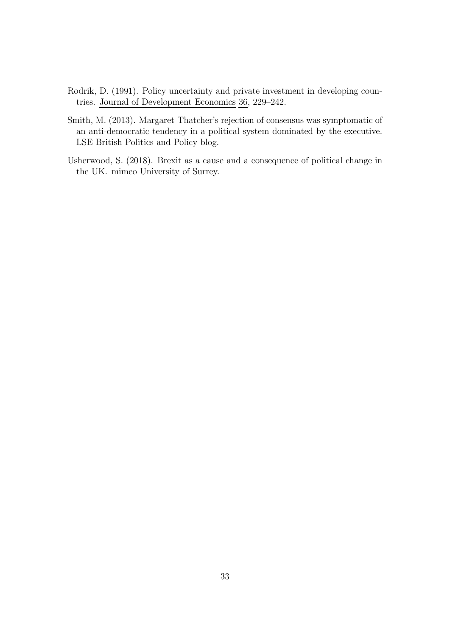- <span id="page-39-0"></span>Rodrik, D. (1991). Policy uncertainty and private investment in developing countries. Journal of Development Economics 36, 229–242.
- <span id="page-39-2"></span>Smith, M. (2013). Margaret Thatcher's rejection of consensus was symptomatic of an anti-democratic tendency in a political system dominated by the executive. LSE British Politics and Policy blog.
- <span id="page-39-1"></span>Usherwood, S. (2018). Brexit as a cause and a consequence of political change in the UK. mimeo University of Surrey.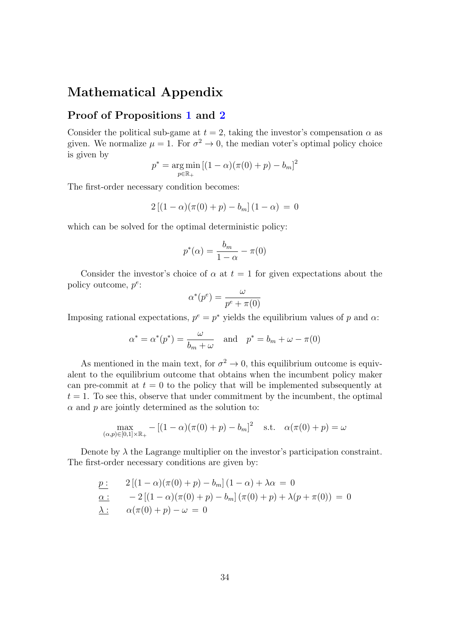### Mathematical Appendix

### Proof of Propositions [1](#page-15-2) and [2](#page-15-0)

Consider the political sub-game at  $t = 2$ , taking the investor's compensation  $\alpha$  as given. We normalize  $\mu = 1$ . For  $\sigma^2 \to 0$ , the median voter's optimal policy choice is given by

$$
p^* = \underset{p \in \mathbb{R}_+}{\arg \min} \left[ (1 - \alpha)(\pi(0) + p) - b_m \right]^2
$$

The first-order necessary condition becomes:

$$
2 [(1 - \alpha)(\pi(0) + p) - b_m] (1 - \alpha) = 0
$$

which can be solved for the optimal deterministic policy:

$$
p^*(\alpha) = \frac{b_m}{1 - \alpha} - \pi(0)
$$

Consider the investor's choice of  $\alpha$  at  $t = 1$  for given expectations about the policy outcome, *p<sup>e</sup>*:

$$
\alpha^*(p^e) = \frac{\omega}{p^e + \pi(0)}
$$

Imposing rational expectations,  $p^e = p^*$  yields the equilibrium values of p and  $\alpha$ .

$$
\alpha^* = \alpha^*(p^*) = \frac{\omega}{b_m + \omega}
$$
 and  $p^* = b_m + \omega - \pi(0)$ 

As mentioned in the main text, for  $\sigma^2 \to 0$ , this equilibrium outcome is equivalent to the equilibrium outcome that obtains when the incumbent policy maker can pre-commit at  $t = 0$  to the policy that will be implemented subsequently at  $t = 1$ . To see this, observe that under commitment by the incumbent, the optimal  $\alpha$  and  $p$  are jointly determined as the solution to:

$$
\max_{(\alpha, p) \in [0, 1] \times \mathbb{R}_+} - [(1 - \alpha)(\pi(0) + p) - b_m]^2 \quad \text{s.t.} \quad \alpha(\pi(0) + p) = \omega
$$

Denote by  $\lambda$  the Lagrange multiplier on the investor's participation constraint. The first-order necessary conditions are given by:

$$
\underline{p :} \quad 2\left[ (1 - \alpha)(\pi(0) + p) - b_m \right] (1 - \alpha) + \lambda \alpha = 0
$$
\n
$$
\underline{\alpha :} \quad -2\left[ (1 - \alpha)(\pi(0) + p) - b_m \right] (\pi(0) + p) + \lambda (p + \pi(0)) = 0
$$
\n
$$
\underline{\lambda :} \quad \alpha(\pi(0) + p) - \omega = 0
$$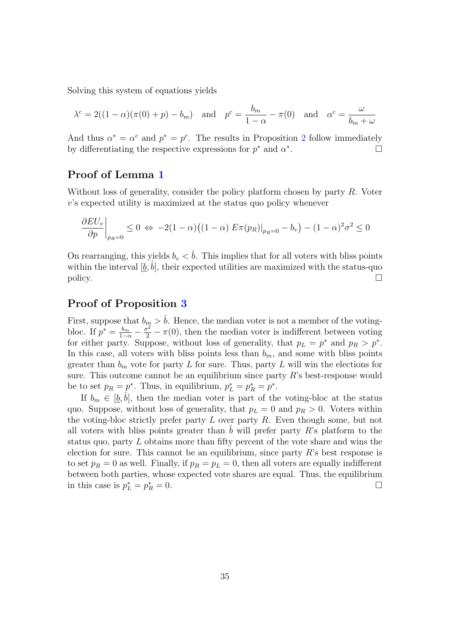Solving this system of equations yields

$$
\lambda^{c} = 2((1 - \alpha)(\pi(0) + p) - b_{m}) \quad \text{and} \quad p^{c} = \frac{b_{m}}{1 - \alpha} - \pi(0) \quad \text{and} \quad \alpha^{c} = \frac{\omega}{b_{m} + \omega}
$$

And thus  $\alpha^* = \alpha^c$  and  $p^* = p^c$ . The results in Proposition [2](#page-15-0) follow immediately by differentiating the respective expressions for  $p^*$  and  $\alpha^*$ . □

### Proof of Lemma [1](#page-17-1)

Without loss of generality, consider the policy platform chosen by party *R*. Voter *v*'s expected utility is maximized at the status quo policy whenever

$$
\frac{\partial EU_v}{\partial p}\bigg|_{p_R=0} \le 0 \Leftrightarrow -2(1-\alpha)\big((1-\alpha) E\pi(p_R)|_{p_R=0} - b_v\big) - (1-\alpha)^2\sigma^2 \le 0
$$

On rearranging, this yields  $b_v < \hat{b}$ . This implies that for all voters with bliss points within the interval  $[\underline{b}, b]$ , their expected utilities are maximized with the status-quo policy.  $\Box$ 

### Proof of Proposition [3](#page-18-0)

First, suppose that  $b_m > \hat{b}$ . Hence, the median voter is not a member of the votingbloc. If  $p^* = \frac{b_m}{1-\alpha} - \frac{\sigma^2}{2} - \pi(0)$ , then the median voter is indifferent between voting for either party. Suppose, without loss of generality, that  $p_L = p^*$  and  $p_R > p^*$ . In this case, all voters with bliss points less than  $b_m$ , and some with bliss points greater than  $b_m$  vote for party *L* for sure. Thus, party *L* will win the elections for sure. This outcome cannot be an equilibrium since party *R*'s best-response would be to set  $p_R = p^*$ . Thus, in equilibrium,  $p_L^* = p_R^* = p^*$ .

If  $b_m \in [\underline{b}, \overline{b}]$ , then the median voter is part of the voting-bloc at the status quo. Suppose, without loss of generality, that  $p_L = 0$  and  $p_R > 0$ . Voters within the voting-bloc strictly prefer party *L* over party *R*. Even though some, but not all voters with bliss points greater than  $\tilde{b}$  will prefer party  $R$ 's platform to the status quo, party *L* obtains more than fifty percent of the vote share and wins the election for sure. This cannot be an equilibrium, since party *R*'s best response is to set  $p_R = 0$  as well. Finally, if  $p_R = p_L = 0$ , then all voters are equally indifferent between both parties, whose expected vote shares are equal. Thus, the equilibrium in this case is  $p_L^* = p_I^*$  $R^* = 0.$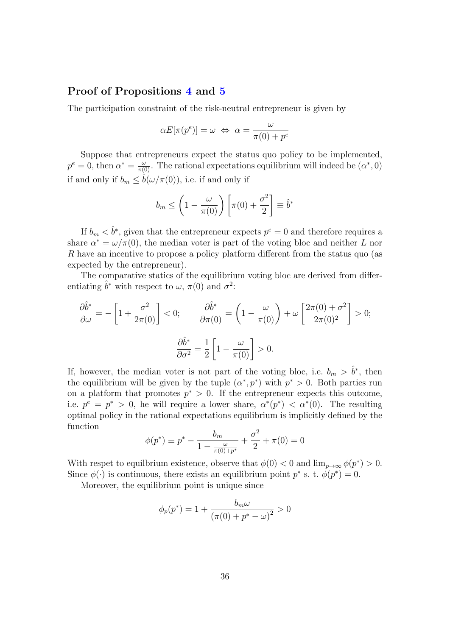### Proof of Propositions [4](#page-18-1) and [5](#page-19-1)

The participation constraint of the risk-neutral entrepreneur is given by

$$
\alpha E[\pi(p^e)] = \omega \iff \alpha = \frac{\omega}{\pi(0) + p^e}
$$

Suppose that entrepreneurs expect the status quo policy to be implemented,  $p^e = 0$ , then  $\alpha^* = \frac{\omega}{\pi(0)}$ . The rational expectations equilibrium will indeed be  $(\alpha^*, 0)$ if and only if  $b_m \leq \hat{b}(\omega/\pi(0))$ , i.e. if and only if

$$
b_m \le \left(1 - \frac{\omega}{\pi(0)}\right) \left[\pi(0) + \frac{\sigma^2}{2}\right] \equiv \hat{b}^*
$$

If  $b_m < \hat{b}^*$ , given that the entrepreneur expects  $p^e = 0$  and therefore requires a share  $\alpha^* = \omega/\pi(0)$ , the median voter is part of the voting bloc and neither *L* nor *R* have an incentive to propose a policy platform different from the status quo (as expected by the entrepreneur).

The comparative statics of the equilibrium voting bloc are derived from differentiating  $\hat{b}^*$  with respect to  $\omega$ ,  $\pi(0)$  and  $\sigma^2$ .

$$
\frac{\partial \hat{b}^*}{\partial \omega} = -\left[1 + \frac{\sigma^2}{2\pi(0)}\right] < 0; \qquad \frac{\partial \hat{b}^*}{\partial \pi(0)} = \left(1 - \frac{\omega}{\pi(0)}\right) + \omega \left[\frac{2\pi(0) + \sigma^2}{2\pi(0)^2}\right] > 0; \\
\frac{\partial \hat{b}^*}{\partial \sigma^2} = \frac{1}{2} \left[1 - \frac{\omega}{\pi(0)}\right] > 0.
$$

If, however, the median voter is not part of the voting bloc, i.e.  $b_m > \hat{b}^*$ , then the equilibrium will be given by the tuple  $(\alpha^*, p^*)$  with  $p^* > 0$ . Both parties run on a platform that promotes  $p^* > 0$ . If the entrepreneur expects this outcome, i.e.  $p^e = p^* > 0$ , he will require a lower share,  $\alpha^*(p^*) < \alpha^*(0)$ . The resulting optimal policy in the rational expectations equilibrium is implicitly defined by the function

$$
\phi(p^*) \equiv p^* - \frac{b_m}{1 - \frac{\omega}{\pi(0) + p^*}} + \frac{\sigma^2}{2} + \pi(0) = 0
$$

With respet to equilbrium existence, observe that  $\phi(0) < 0$  and  $\lim_{p\to\infty} \phi(p^*) > 0$ . Since  $\phi(\cdot)$  is continuous, there exists an equilibrium point  $p^*$  s. t.  $\phi(p^*) = 0$ .

Moreover, the equilibrium point is unique since

$$
\phi_p(p^*) = 1 + \frac{b_m \omega}{(\pi (0) + p^* - \omega)^2} > 0
$$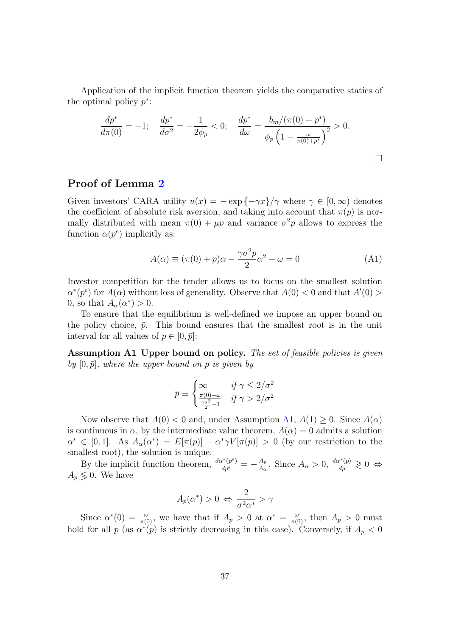Application of the implicit function theorem yields the comparative statics of the optimal policy *p*∗:

$$
\frac{dp^*}{d\pi(0)} = -1; \quad \frac{dp^*}{d\sigma^2} = -\frac{1}{2\phi_p} < 0; \quad \frac{dp^*}{d\omega} = \frac{b_m/(\pi(0) + p^*)}{\phi_p \left(1 - \frac{\omega}{\pi(0) + p^*}\right)^2} > 0.
$$

### Proof of Lemma [2](#page-21-1)

Given investors' CARA utility  $u(x) = -\exp\{-\gamma x\}/\gamma$  where  $\gamma \in [0,\infty)$  denotes the coefficient of absolute risk aversion, and taking into account that  $\pi(p)$  is normally distributed with mean  $\pi(0) + \mu p$  and variance  $\sigma^2 p$  allows to express the function  $\alpha(p^e)$  implicitly as:

<span id="page-43-1"></span>
$$
A(\alpha) \equiv (\pi(0) + p)\alpha - \frac{\gamma \sigma^2 p}{2} \alpha^2 - \omega = 0
$$
 (A1)

Investor competition for the tender allows us to focus on the smallest solution  $\alpha^*(p^e)$  for  $A(\alpha)$  without loss of generality. Observe that  $A(0) < 0$  and that  $A'(0) > 0$ 0, so that  $A_{\alpha}(\alpha^*) > 0$ .

To ensure that the equilibrium is well-defined we impose an upper bound on the policy choice,  $\bar{p}$ . This bound ensures that the smallest root is in the unit interval for all values of  $p \in [0, \bar{p}]$ :

<span id="page-43-0"></span>Assumption A1 Upper bound on policy. *The set of feasible policies is given*  $by [0, \bar{p}]$ *, where the upper bound on p is given by* 

$$
\overline{p} \equiv \begin{cases} \infty & \text{if } \gamma \le 2/\sigma^2\\ \frac{\pi(0)-\omega}{2\sigma^2-1} & \text{if } \gamma > 2/\sigma^2 \end{cases}
$$

Now observe that  $A(0) < 0$  and, under Assumption [A1,](#page-43-0)  $A(1) \geq 0$ . Since  $A(\alpha)$ is continuous in  $\alpha$ , by the intermediate value theorem,  $A(\alpha) = 0$  admits a solution  $\alpha^* \in [0,1]$ . As  $A_\alpha(\alpha^*) = E[\pi(p)] - \alpha^* \gamma V[\pi(p)] > 0$  (by our restriction to the smallest root), the solution is unique.

By the implicit function theorem,  $\frac{d\alpha^*(p^e)}{dp^e} = -\frac{A_p}{A_\alpha}$ . Since  $A_\alpha > 0$ ,  $\frac{d\alpha^*(p)}{dp} \geq 0 \Leftrightarrow$  $A_p \leq 0$ . We have

$$
A_p(\alpha^*) > 0 \Leftrightarrow \frac{2}{\sigma^2 \alpha^*} > \gamma
$$

Since  $\alpha^*(0) = \frac{\omega}{\pi(0)}$ , we have that if  $A_p > 0$  at  $\alpha^* = \frac{\omega}{\pi(0)}$ , then  $A_p > 0$  must hold for all *p* (as  $\alpha^*(p)$  is strictly decreasing in this case). Conversely, if  $A_p < 0$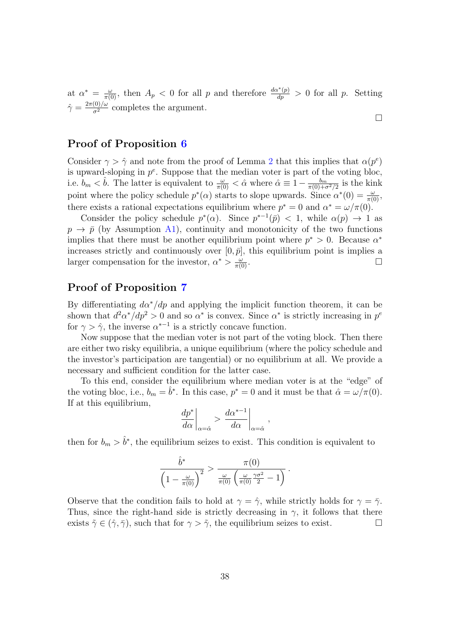at  $\alpha^* = \frac{\omega}{\pi(0)}$ , then  $A_p < 0$  for all *p* and therefore  $\frac{d\alpha^*(p)}{dp}$  $\frac{d^2(p)}{dp} > 0$  for all *p*. Setting  $\hat{\gamma} = \frac{2\pi(0)/\omega}{\sigma^2}$  completes the argument.

### Proof of Proposition [6](#page-22-0)

Consider  $\gamma > \hat{\gamma}$  and note from the proof of Lemma [2](#page-21-1) that this implies that  $\alpha(p^e)$ is upward-sloping in  $p^e$ . Suppose that the median voter is part of the voting bloc, i.e.  $b_m < \hat{b}$ . The latter is equivalent to  $\frac{\omega}{\pi(0)} < \hat{\alpha}$  where  $\hat{\alpha} \equiv 1 - \frac{b_m}{\pi(0) + \sigma^2/2}$  is the kink point where the policy schedule  $p^*(\alpha)$  starts to slope upwards. Since  $\alpha^*(0) = \frac{\omega}{\pi(0)}$ , there exists a rational expectations equilibrium where  $p^* = 0$  and  $\alpha^* = \omega/\pi(0)$ .

Consider the policy schedule  $p^*(\alpha)$ . Since  $p^{*-1}(\bar{p}) < 1$ , while  $\alpha(p) \to 1$  as  $p \rightarrow \bar{p}$  (by Assumption [A1\)](#page-43-0), continuity and monotonicity of the two functions implies that there must be another equilibrium point where  $p^* > 0$ . Because  $\alpha^*$ increases strictly and continuously over  $[0, \bar{p}]$ , this equilibrium point is implies a larger compensation for the investor,  $\alpha^* > \frac{\omega}{\pi(0)}$ .  $\frac{\omega}{\pi(0)}$ .

### Proof of Proposition [7](#page-23-1)

By differentiating  $d\alpha^*/dp$  and applying the implicit function theorem, it can be shown that  $d^2\alpha^*/dp^2 > 0$  and so  $\alpha^*$  is convex. Since  $\alpha^*$  is strictly increasing in  $p^e$ for  $\gamma > \hat{\gamma}$ , the inverse  $\alpha^{*-1}$  is a strictly concave function.

Now suppose that the median voter is not part of the voting block. Then there are either two risky equilibria, a unique equilibrium (where the policy schedule and the investor's participation are tangential) or no equilibrium at all. We provide a necessary and sufficient condition for the latter case.

To this end, consider the equilibrium where median voter is at the "edge" of the voting bloc, i.e.,  $b_m = \hat{b}^*$ . In this case,  $p^* = 0$  and it must be that  $\hat{\alpha} = \omega/\pi(0)$ . If at this equilibrium,

$$
\left. \frac{dp^*}{d\alpha} \right|_{\alpha = \hat{\alpha}} > \left. \frac{d\alpha^{*-1}}{d\alpha} \right|_{\alpha = \hat{\alpha}},
$$

then for  $b_m > \hat{b}^*$ , the equilibrium seizes to exist. This condition is equivalent to

$$
\frac{\hat{b}^*}{\left(1 - \frac{\omega}{\pi(0)}\right)^2} > \frac{\pi(0)}{\frac{\omega}{\pi(0)}\left(\frac{\omega}{\pi(0)}\frac{\gamma\sigma^2}{2} - 1\right)}.
$$

Observe that the condition fails to hold at  $\gamma = \hat{\gamma}$ , while strictly holds for  $\gamma = \bar{\gamma}$ . Thus, since the right-hand side is strictly decreasing in  $\gamma$ , it follows that there exists  $\tilde{\gamma} \in (\hat{\gamma}, \bar{\gamma})$ , such that for  $\gamma > \tilde{\gamma}$ , the equilibrium seizes to exist. □

□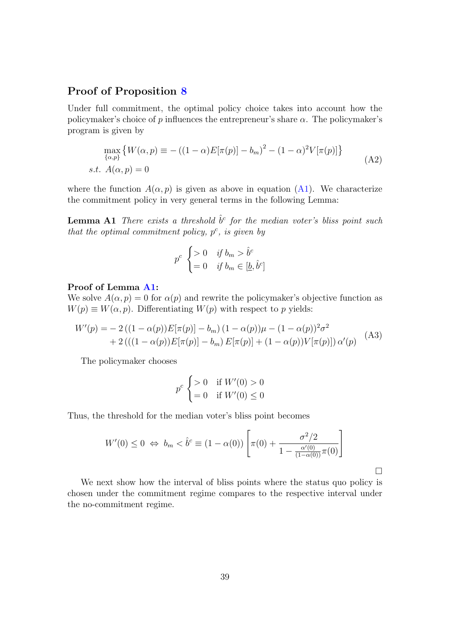### Proof of Proposition [8](#page-24-1)

Under full commitment, the optimal policy choice takes into account how the policymaker's choice of  $p$  influences the entrepreneur's share  $\alpha$ . The policymaker's program is given by

$$
\max_{\{\alpha,p\}} \{ W(\alpha, p) \equiv -((1-\alpha)E[\pi(p)] - b_m)^2 - (1-\alpha)^2 V[\pi(p)] \}
$$
  
s.t.  $A(\alpha, p) = 0$  (A2)

where the function  $A(\alpha, p)$  is given as above in equation ([A1\)](#page-43-1). We characterize the commitment policy in very general terms in the following Lemma:

<span id="page-45-0"></span>**Lemma A1** *There exists a threshold*  $\hat{b}^c$  *for the median voter's bliss point such that the optimal commitment policy, p<sup>c</sup> , is given by*

$$
p^{c} \begin{cases} > 0 & \text{if } b_{m} > \hat{b}^{c} \\ = 0 & \text{if } b_{m} \in [\underline{b}, \hat{b}^{c}] \end{cases}
$$

#### Proof of Lemma [A1](#page-45-0):

We solve  $A(\alpha, p) = 0$  for  $\alpha(p)$  and rewrite the policymaker's objective function as  $W(p) \equiv W(\alpha, p)$ . Differentiating  $W(p)$  with respect to *p* yields:

$$
W'(p) = -2 ((1 - \alpha(p))E[\pi(p)] - b_m) (1 - \alpha(p))\mu - (1 - \alpha(p))^2 \sigma^2 + 2 ((1 - \alpha(p))E[\pi(p)] - b_m) E[\pi(p)] + (1 - \alpha(p))V[\pi(p)]) \alpha'(p)
$$
 (A3)

The policymaker chooses

$$
p^c \begin{cases} > 0 & \text{if } W'(0) > 0 \\ = 0 & \text{if } W'(0) \le 0 \end{cases}
$$

Thus, the threshold for the median voter's bliss point becomes

$$
W'(0) \le 0 \iff b_m < \hat{b}^c \equiv (1 - \alpha(0)) \left[ \pi(0) + \frac{\sigma^2/2}{1 - \frac{\alpha'(0)}{(1 - \alpha(0))}\pi(0)} \right]
$$

<span id="page-45-2"></span>□

<span id="page-45-1"></span>We next show how the interval of bliss points where the status quo policy is chosen under the commitment regime compares to the respective interval under the no-commitment regime.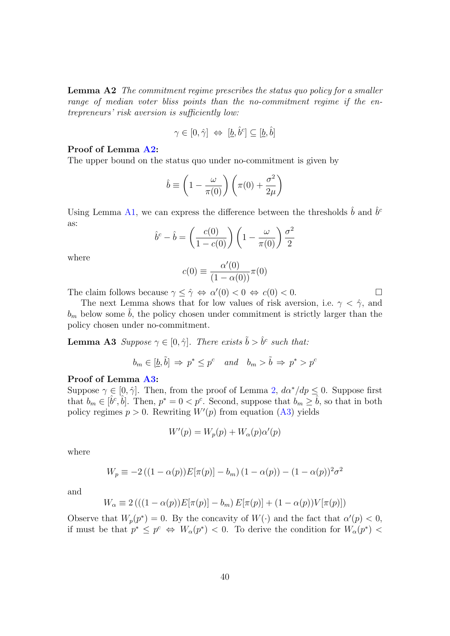Lemma A2 *The commitment regime prescribes the status quo policy for a smaller range of median voter bliss points than the no-commitment regime if the entrepreneurs' risk aversion is su*ffi*ciently low:*

$$
\gamma \in [0, \hat{\gamma}] \iff [\underline{b}, \hat{b}^c] \subseteq [\underline{b}, \hat{b}]
$$

#### Proof of Lemma [A2](#page-45-1):

The upper bound on the status quo under no-commitment is given by

$$
\hat{b} \equiv \left(1 - \frac{\omega}{\pi(0)}\right) \left(\pi(0) + \frac{\sigma^2}{2\mu}\right)
$$

Using Lemma [A1,](#page-45-0) we can express the difference between the thresholds  $\hat{b}$  and  $\hat{b}^c$ as:

$$
\hat{b}^c - \hat{b} = \left(\frac{c(0)}{1 - c(0)}\right) \left(1 - \frac{\omega}{\pi(0)}\right) \frac{\sigma^2}{2}
$$

where

$$
c(0) \equiv \frac{\alpha'(0)}{(1 - \alpha(0))} \pi(0)
$$

The claim follows because  $\gamma \leq \hat{\gamma} \Leftrightarrow \alpha'(0) < 0 \Leftrightarrow c(0) < 0$ .

The next Lemma shows that for low values of risk aversion, i.e.  $\gamma < \hat{\gamma}$ , and  $b<sub>m</sub>$  below some  $b<sub>i</sub>$ , the policy chosen under commitment is strictly larger than the policy chosen under no-commitment.

<span id="page-46-0"></span>**Lemma A3** Suppose  $\gamma \in [0, \hat{\gamma}]$ *. There exists*  $\tilde{b} > \hat{b}^c$  *such that:* 

$$
b_m \in [\underline{b}, \tilde{b}] \Rightarrow p^* \leq p^c
$$
 and  $b_m > \tilde{b} \Rightarrow p^* > p^c$ 

#### Proof of Lemma [A3](#page-46-0):

Suppose  $\gamma \in [0, \hat{\gamma}]$ . Then, from the proof of Lemma [2,](#page-21-1)  $d\alpha^*/dp \leq 0$ . Suppose first that  $b_m \in [\hat{b}^c, \hat{b}]$ . Then,  $p^* = 0 < p^c$ . Second, suppose that  $b_m \geq \hat{b}$ , so that in both policy regimes  $p > 0$ . Rewriting  $W'(p)$  from equation  $(A3)$  $(A3)$  $(A3)$  yields

$$
W'(p) = W_p(p) + W_\alpha(p)\alpha'(p)
$$

where

$$
W_p \equiv -2((1 - \alpha(p))E[\pi(p)] - b_m)(1 - \alpha(p)) - (1 - \alpha(p))^2 \sigma^2
$$

and

$$
W_{\alpha} \equiv 2\left( ((1 - \alpha(p))E[\pi(p)] - b_m\right)E[\pi(p)] + (1 - \alpha(p))V[\pi(p)]\right)
$$

Observe that  $W_p(p^*) = 0$ . By the concavity of  $W(\cdot)$  and the fact that  $\alpha'(p) < 0$ , if must be that  $p^* \leq p^c \Leftrightarrow W_\alpha(p^*) < 0$ . To derive the condition for  $W_\alpha(p^*) <$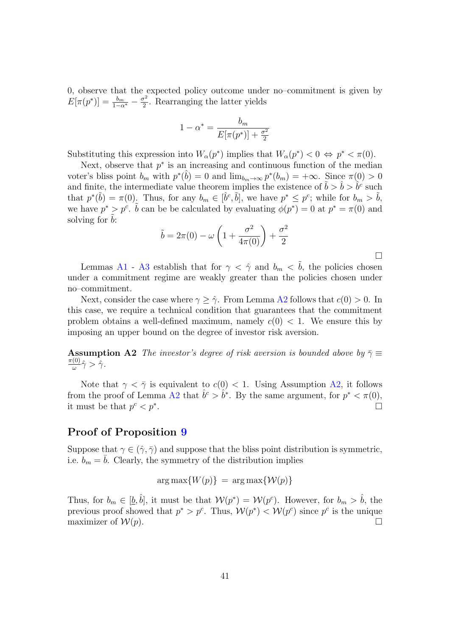0, observe that the expected policy outcome under no–commitment is given by  $E[\pi(p^*)] = \frac{b_m}{1-\alpha^*} - \frac{\sigma^2}{2}$ . Rearranging the latter yields

$$
1 - \alpha^* = \frac{b_m}{E[\pi(p^*)] + \frac{\sigma^2}{2}}
$$

Substituting this expression into  $W_\alpha(p^*)$  implies that  $W_\alpha(p^*) < 0 \Leftrightarrow p^* < \pi(0)$ .

Next, observe that *p*<sup>∗</sup> is an increasing and continuous function of the median voter's bliss point  $b_m$  with  $p^*(b) = 0$  and  $\lim_{b_m \to \infty} p^*(b_m) = +\infty$ . Since  $\pi(0) > 0$ and finite, the intermediate value theorem implies the existence of  $\tilde{b} > \tilde{b} > \tilde{b}^c$  such that  $p^*(\tilde{b}) = \pi(0)$ . Thus, for any  $b_m \in [\hat{b}^c, \tilde{b}]$ , we have  $p^* \leq p^c$ ; while for  $b_m > \tilde{b}$ , we have  $p^* > p^c$ .  $\tilde{b}$  can be be calculated by evaluating  $\phi(p^*) = 0$  at  $p^* = \pi(0)$  and solving for *b*:

$$
\tilde{b} = 2\pi(0) - \omega \left( 1 + \frac{\sigma^2}{4\pi(0)} \right) + \frac{\sigma^2}{2}
$$

□

Lemmas [A1](#page-45-0) - [A3](#page-46-0) establish that for  $\gamma < \hat{\gamma}$  and  $b_m < \tilde{b}$ , the policies chosen under a commitment regime are weakly greater than the policies chosen under no–commitment.

Next, consider the case where  $\gamma \geq \hat{\gamma}$ . From Lemma [A2](#page-45-1) follows that  $c(0) > 0$ . In this case, we require a technical condition that guarantees that the commitment problem obtains a well-defined maximum, namely  $c(0) < 1$ . We ensure this by imposing an upper bound on the degree of investor risk aversion.

<span id="page-47-0"></span>**Assumption A2** *The investor's degree of risk aversion is bounded above by*  $\bar{\gamma} \equiv$  $\frac{\pi(0)}{\omega}\hat{\gamma} > \hat{\gamma}.$ 

Note that  $\gamma < \overline{\gamma}$  is equivalent to  $c(0) < 1$ . Using Assumption [A2,](#page-47-0) it follows from the proof of Lemma [A2](#page-45-1) that  $\hat{b}^c > \hat{b}^*$ . By the same argument, for  $p^* < \pi(0)$ , it must be that  $p^c < p^*$ .

### Proof of Proposition [9](#page-26-0)

Suppose that  $\gamma \in (\hat{\gamma}, \bar{\gamma})$  and suppose that the bliss point distribution is symmetric, i.e.  $b_m = b$ . Clearly, the symmetry of the distribution implies

 $\arg \max \{W(p)\} = \arg \max \{W(p)\}$ 

Thus, for  $b_m \in [\underline{b}, \hat{b}]$ , it must be that  $\mathcal{W}(p^*) = \mathcal{W}(p^c)$ . However, for  $b_m > \hat{b}$ , the previous proof showed that  $p^* > p^c$ . Thus,  $\mathcal{W}(p^*) < \mathcal{W}(p^c)$  since  $p^c$  is the unique maximizer of  $W(p)$ .